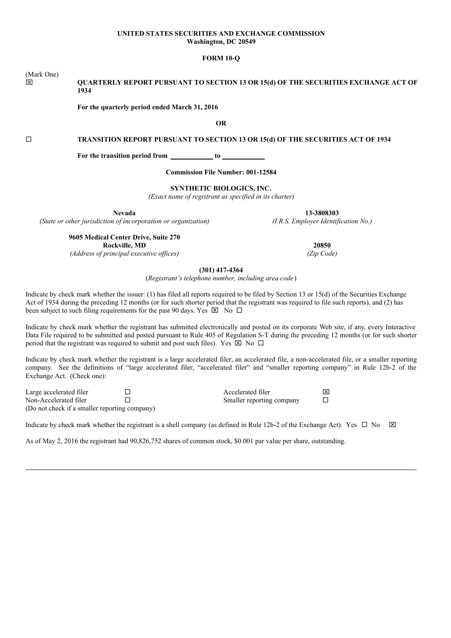#### **UNITED STATES SECURITIES AND EXCHANGE COMMISSION Washington, DC 20549**

## **FORM 10-Q**

<span id="page-0-0"></span>(Mark One)

## x **QUARTERLY REPORT PURSUANT TO SECTION 13 OR 15(d) OF THE SECURITIES EXCHANGE ACT OF 1934**

**For the quarterly period ended March 31, 2016**

**OR**

## ¨ **TRANSITION REPORT PURSUANT TO SECTION 13 OR 15(d) OF THE SECURITIES ACT OF 1934**

**For the transition period from \_\_\_\_\_\_\_\_\_\_\_\_ to \_\_\_\_\_\_\_\_\_\_\_\_**

**Commission File Number: 001-12584**

**SYNTHETIC BIOLOGICS, INC.**

*(Exact name of registrant as specified in its charter)*

**Nevada 13-3808303**

*(State or other jurisdiction of incorporation or organization) (I.R.S. Employer Identification No.)*

**9605 Medical Center Drive, Suite 270 Rockville, MD 20850** *(Address of principal executive of ices) (Zip Code)*

**(301) 417-4364**

(*Registrant's telephone number, including area code* )

Indicate by check mark whether the issuer: (1) has filed all reports required to be filed by Section 13 or 15(d) of the Securities Exchange Act of 1934 during the preceding 12 months (or for such shorter period that the registrant was required to file such reports), and (2) has been subject to such filing requirements for the past 90 days. Yes  $\boxtimes$  No  $\Box$ 

Indicate by check mark whether the registrant has submitted electronically and posted on its corporate Web site, if any, every Interactive Data File required to be submitted and posted pursuant to Rule 405 of Regulation S-T during the preceding 12 months (or for such shorter period that the registrant was required to submit and post such files). Yes  $\boxtimes$  No  $\Box$ 

Indicate by check mark whether the registrant is a large accelerated filer, an accelerated file, a non-accelerated file, or a smaller reporting company. See the definitions of "large accelerated filer, "accelerated filer" and "smaller reporting company" in Rule 12b-2 of the Exchange Act. (Check one):

Large accelerated filer  $\square$ Non-Accelerated filer □ □ Smaller reporting company □ (Do not check if a smaller reporting company)

Indicate by check mark whether the registrant is a shell company (as defined in Rule 12b-2 of the Exchange Act). Yes  $\Box$  No  $\boxtimes$ 

As of May 2, 2016 the registrant had 90,826,752 shares of common stock, \$0.001 par value per share, outstanding.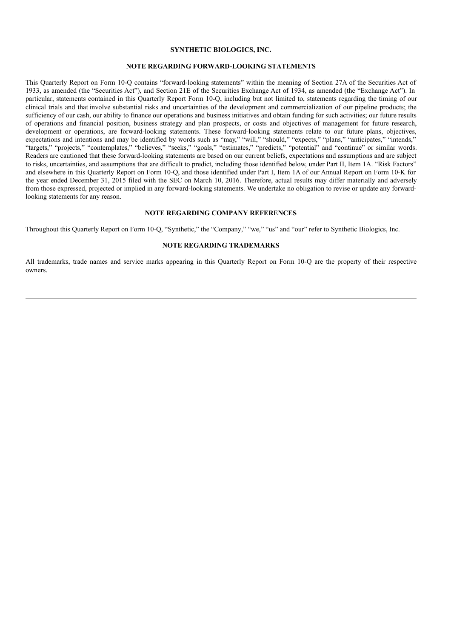### **SYNTHETIC BIOLOGICS, INC.**

#### **NOTE REGARDING FORWARD-LOOKING STATEMENTS**

This Quarterly Report on Form 10-Q contains "forward-looking statements" within the meaning of Section 27A of the Securities Act of 1933, as amended (the "Securities Act"), and Section 21E of the Securities Exchange Act of 1934, as amended (the "Exchange Act"). In particular, statements contained in this Quarterly Report Form 10-Q, including but not limited to, statements regarding the timing of our clinical trials and that involve substantial risks and uncertainties of the development and commercialization of our pipeline products; the sufficiency of our cash, our ability to finance our operations and business initiatives and obtain funding for such activities; our future results of operations and financial position, business strategy and plan prospects, or costs and objectives of management for future research, development or operations, are forward-looking statements. These forward-looking statements relate to our future plans, objectives, expectations and intentions and may be identified by words such as "may," "will," "should," "expects," "plans," "anticipates," "intends," "targets," "projects," "contemplates," "believes," "seeks," "goals," "estimates," "predicts," "potential" and "continue" or similar words. Readers are cautioned that these forward-looking statements are based on our current beliefs, expectations and assumptions and are subject to risks, uncertainties, and assumptions that are difficult to predict, including those identified below, under Part II, Item 1A. "Risk Factors" and elsewhere in this Quarterly Report on Form 10-Q, and those identified under Part I, Item 1A of our Annual Report on Form 10-K for the year ended December 31, 2015 filed with the SEC on March 10, 2016. Therefore, actual results may differ materially and adversely from those expressed, projected or implied in any forward-looking statements. We undertake no obligation to revise or update any forwardlooking statements for any reason.

### **NOTE REGARDING COMPANY REFERENCES**

Throughout this Quarterly Report on Form 10-Q, "Synthetic," the "Company," "we," "us" and "our" refer to Synthetic Biologics, Inc.

### **NOTE REGARDING TRADEMARKS**

All trademarks, trade names and service marks appearing in this Quarterly Report on Form 10-Q are the property of their respective owners.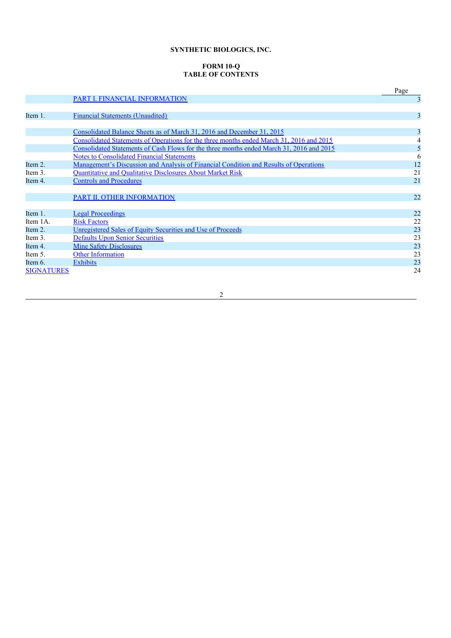# **SYNTHETIC BIOLOGICS, INC.**

#### **FORM 10-Q TABLE OF CONTENTS**

|                   |                                                                                          | Page |
|-------------------|------------------------------------------------------------------------------------------|------|
|                   | PART I. FINANCIAL INFORMATION                                                            | 3    |
|                   |                                                                                          |      |
| Item 1.           | <b>Financial Statements (Unaudited)</b>                                                  | 3    |
|                   |                                                                                          |      |
|                   | Consolidated Balance Sheets as of March 31, 2016 and December 31, 2015                   | 3    |
|                   | Consolidated Statements of Operations for the three months ended March 31, 2016 and 2015 | 4    |
|                   | Consolidated Statements of Cash Flows for the three months ended March 31, 2016 and 2015 |      |
|                   | <b>Notes to Consolidated Financial Statements</b>                                        | 6    |
| Item 2.           | Management's Discussion and Analysis of Financial Condition and Results of Operations    | 12   |
| Item 3.           | <b>Quantitative and Qualitative Disclosures About Market Risk</b>                        | 21   |
| Item 4.           | <b>Controls and Procedures</b>                                                           | 21   |
|                   |                                                                                          |      |
|                   | PART II. OTHER INFORMATION                                                               | 22   |
|                   |                                                                                          |      |
| Item 1.           | <b>Legal Proceedings</b>                                                                 | 22   |
| Item 1A.          | <b>Risk Factors</b>                                                                      | 22   |
| Item 2.           | Unregistered Sales of Equity Securities and Use of Proceeds                              | 23   |
| Item 3.           | <b>Defaults Upon Senior Securities</b>                                                   | 23   |
| Item 4.           | <b>Mine Safety Disclosures</b>                                                           | 23   |
| Item 5.           | <b>Other Information</b>                                                                 | 23   |
| Item 6.           | <b>Exhibits</b>                                                                          | 23   |
| <b>SIGNATURES</b> |                                                                                          | 24   |
|                   |                                                                                          |      |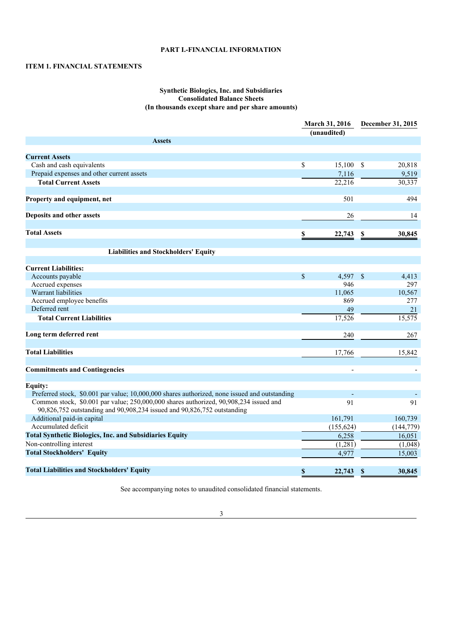## **PART I.-FINANCIAL INFORMATION**

# **ITEM 1. FINANCIAL STATEMENTS**

#### **Synthetic Biologics, Inc. and Subsidiaries Consolidated Balance Sheets (In thousands except share and per share amounts)**

|                                                                                                                                                                  | March 31, 2016<br>(unaudited) |             | December 31, 2015 |            |
|------------------------------------------------------------------------------------------------------------------------------------------------------------------|-------------------------------|-------------|-------------------|------------|
| <b>Assets</b>                                                                                                                                                    |                               |             |                   |            |
| <b>Current Assets</b>                                                                                                                                            |                               |             |                   |            |
| Cash and cash equivalents                                                                                                                                        | \$                            | $15,100$ \$ |                   | 20,818     |
| Prepaid expenses and other current assets                                                                                                                        |                               | 7,116       |                   | 9,519      |
| <b>Total Current Assets</b>                                                                                                                                      |                               | 22,216      |                   | 30,337     |
| Property and equipment, net                                                                                                                                      |                               | 501         |                   | 494        |
| Deposits and other assets                                                                                                                                        |                               | 26          |                   | 14         |
|                                                                                                                                                                  |                               |             |                   |            |
| <b>Total Assets</b>                                                                                                                                              |                               | 22,743      | \$                | 30,845     |
| Liabilities and Stockholders' Equity                                                                                                                             |                               |             |                   |            |
| <b>Current Liabilities:</b>                                                                                                                                      |                               |             |                   |            |
| Accounts payable                                                                                                                                                 | $\mathbb{S}$                  | 4,597       | <sup>S</sup>      | 4,413      |
| Accrued expenses                                                                                                                                                 |                               | 946         |                   | 297        |
| Warrant liabilities                                                                                                                                              |                               | 11,065      |                   | 10,567     |
| Accrued employee benefits                                                                                                                                        |                               | 869         |                   | 277        |
| Deferred rent                                                                                                                                                    |                               | 49          |                   | 21         |
| <b>Total Current Liabilities</b>                                                                                                                                 |                               | 17,526      |                   | 15,575     |
| Long term deferred rent                                                                                                                                          |                               | 240         |                   | 267        |
| <b>Total Liabilities</b>                                                                                                                                         |                               | 17.766      |                   | 15.842     |
|                                                                                                                                                                  |                               |             |                   |            |
| <b>Commitments and Contingencies</b>                                                                                                                             |                               |             |                   |            |
| <b>Equity:</b>                                                                                                                                                   |                               |             |                   |            |
| Preferred stock, \$0.001 par value; 10,000,000 shares authorized, none issued and outstanding                                                                    |                               |             |                   |            |
| Common stock, \$0.001 par value; 250,000,000 shares authorized, 90,908,234 issued and<br>90,826,752 outstanding and 90,908,234 issued and 90,826,752 outstanding |                               | 91          |                   | 91         |
| Additional paid-in capital                                                                                                                                       |                               | 161,791     |                   | 160,739    |
| Accumulated deficit                                                                                                                                              |                               | (155, 624)  |                   | (144, 779) |
| <b>Total Synthetic Biologics, Inc. and Subsidiaries Equity</b>                                                                                                   |                               | 6,258       |                   | 16,051     |
| Non-controlling interest                                                                                                                                         |                               | (1,281)     |                   | (1,048)    |
| <b>Total Stockholders' Equity</b>                                                                                                                                |                               | 4,977       |                   | 15,003     |
| <b>Total Liabilities and Stockholders' Equity</b>                                                                                                                | \$                            | 22,743      | \$                | 30,845     |

See accompanying notes to unaudited consolidated financial statements.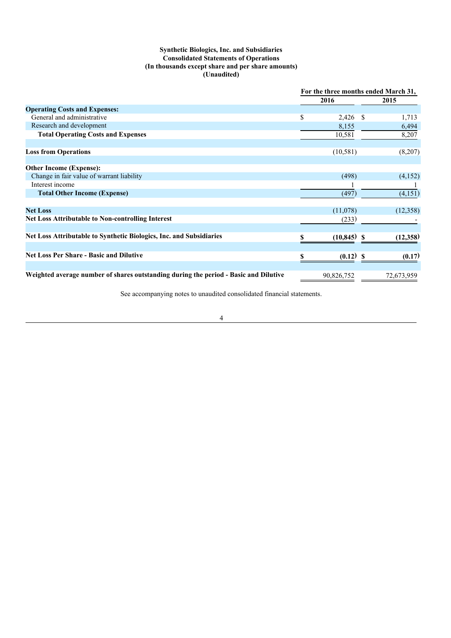## **Synthetic Biologics, Inc. and Subsidiaries Consolidated Statements of Operations (In thousands except share and per share amounts) (Unaudited)**

|                                                                                      | For the three months ended March 31, |             |               |            |
|--------------------------------------------------------------------------------------|--------------------------------------|-------------|---------------|------------|
|                                                                                      |                                      | 2016        |               | 2015       |
| <b>Operating Costs and Expenses:</b>                                                 |                                      |             |               |            |
| General and administrative                                                           | \$                                   | 2,426       | <sup>\$</sup> | 1,713      |
| Research and development                                                             |                                      | 8,155       |               | 6,494      |
| <b>Total Operating Costs and Expenses</b>                                            |                                      | 10,581      |               | 8,207      |
| <b>Loss from Operations</b>                                                          |                                      | (10, 581)   |               | (8,207)    |
| <b>Other Income (Expense):</b>                                                       |                                      |             |               |            |
| Change in fair value of warrant liability                                            |                                      | (498)       |               | (4,152)    |
| Interest income                                                                      |                                      |             |               |            |
| <b>Total Other Income (Expense)</b>                                                  |                                      | (497)       |               | (4, 151)   |
| <b>Net Loss</b>                                                                      |                                      | (11,078)    |               | (12,358)   |
| <b>Net Loss Attributable to Non-controlling Interest</b>                             |                                      | (233)       |               |            |
| Net Loss Attributable to Synthetic Biologics, Inc. and Subsidiaries                  |                                      | (10, 845)   | S             | (12, 358)  |
| <b>Net Loss Per Share - Basic and Dilutive</b>                                       |                                      | $(0.12)$ \$ |               | (0.17)     |
| Weighted average number of shares outstanding during the period - Basic and Dilutive |                                      | 90,826,752  |               | 72,673,959 |

See accompanying notes to unaudited consolidated financial statements.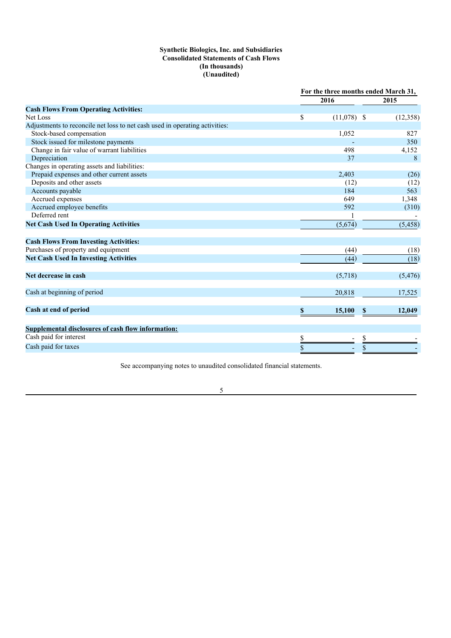#### **Synthetic Biologics, Inc. and Subsidiaries Consolidated Statements of Cash Flows (In thousands) (Unaudited)**

|                                                                             | For the three months ended March 31, |                                |           |  |
|-----------------------------------------------------------------------------|--------------------------------------|--------------------------------|-----------|--|
|                                                                             |                                      | 2016                           | 2015      |  |
| <b>Cash Flows From Operating Activities:</b>                                |                                      |                                |           |  |
| Net Loss                                                                    | \$                                   | $(11,078)$ \$                  | (12, 358) |  |
| Adjustments to reconcile net loss to net cash used in operating activities: |                                      |                                |           |  |
| Stock-based compensation                                                    |                                      | 1,052                          | 827       |  |
| Stock issued for milestone payments                                         |                                      |                                | 350       |  |
| Change in fair value of warrant liabilities                                 |                                      | 498                            | 4,152     |  |
| Depreciation                                                                |                                      | 37                             | 8         |  |
| Changes in operating assets and liabilities:                                |                                      |                                |           |  |
| Prepaid expenses and other current assets                                   |                                      | 2,403                          | (26)      |  |
| Deposits and other assets                                                   |                                      | (12)                           | (12)      |  |
| Accounts payable                                                            |                                      | 184                            | 563       |  |
| Accrued expenses                                                            |                                      | 649                            | 1,348     |  |
| Accrued employee benefits                                                   |                                      | 592                            | (310)     |  |
| Deferred rent                                                               |                                      |                                |           |  |
| <b>Net Cash Used In Operating Activities</b>                                |                                      | (5,674)                        | (5, 458)  |  |
| <b>Cash Flows From Investing Activities:</b>                                |                                      |                                |           |  |
| Purchases of property and equipment                                         |                                      | (44)                           | (18)      |  |
| <b>Net Cash Used In Investing Activities</b>                                |                                      | (44)                           | (18)      |  |
| Net decrease in cash                                                        |                                      | (5,718)                        | (5, 476)  |  |
| Cash at beginning of period                                                 |                                      | 20,818                         | 17,525    |  |
| Cash at end of period                                                       | \$                                   | 15,100<br>\$                   | 12,049    |  |
|                                                                             |                                      |                                |           |  |
| Supplemental disclosures of cash flow information:                          |                                      |                                |           |  |
| Cash paid for interest                                                      | \$                                   | \$<br>$\overline{\phantom{0}}$ |           |  |
| Cash paid for taxes                                                         | \$                                   | \$                             |           |  |
|                                                                             |                                      |                                |           |  |

See accompanying notes to unaudited consolidated financial statements.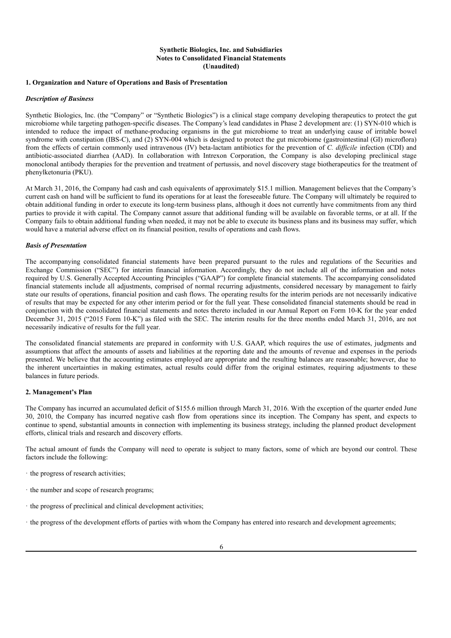#### **Synthetic Biologics, Inc. and Subsidiaries Notes to Consolidated Financial Statements (Unaudited)**

#### **1. Organization and Nature of Operations and Basis of Presentation**

#### *Description of Business*

Synthetic Biologics, Inc. (the "Company" or "Synthetic Biologics") is a clinical stage company developing therapeutics to protect the gut microbiome while targeting pathogen-specific diseases. The Company's lead candidates in Phase 2 development are: (1) SYN-010 which is intended to reduce the impact of methane-producing organisms in the gut microbiome to treat an underlying cause of irritable bowel syndrome with constipation (IBS-C), and (2) SYN-004 which is designed to protect the gut microbiome (gastrointestinal (GI) microflora) from the effects of certain commonly used intravenous (IV) beta-lactam antibiotics for the prevention of *C. dif icile* infection (CDI) and antibiotic-associated diarrhea (AAD). In collaboration with Intrexon Corporation, the Company is also developing preclinical stage monoclonal antibody therapies for the prevention and treatment of pertussis, and novel discovery stage biotherapeutics for the treatment of phenylketonuria (PKU).

At March 31, 2016, the Company had cash and cash equivalents of approximately \$15.1 million. Management believes that the Company's current cash on hand will be sufficient to fund its operations for at least the foreseeable future. The Company will ultimately be required to obtain additional funding in order to execute its long-term business plans, although it does not currently have commitments from any third parties to provide it with capital. The Company cannot assure that additional funding will be available on favorable terms, or at all. If the Company fails to obtain additional funding when needed, it may not be able to execute its business plans and its business may suffer, which would have a material adverse effect on its financial position, results of operations and cash flows.

#### *Basis of Presentation*

The accompanying consolidated financial statements have been prepared pursuant to the rules and regulations of the Securities and Exchange Commission ("SEC") for interim financial information. Accordingly, they do not include all of the information and notes required by U.S. Generally Accepted Accounting Principles ("GAAP") for complete financial statements. The accompanying consolidated financial statements include all adjustments, comprised of normal recurring adjustments, considered necessary by management to fairly state our results of operations, financial position and cash flows. The operating results for the interim periods are not necessarily indicative of results that may be expected for any other interim period or for the full year. These consolidated financial statements should be read in conjunction with the consolidated financial statements and notes thereto included in our Annual Report on Form 10-K for the year ended December 31, 2015 ("2015 Form 10-K") as filed with the SEC. The interim results for the three months ended March 31, 2016, are not necessarily indicative of results for the full year.

The consolidated financial statements are prepared in conformity with U.S. GAAP, which requires the use of estimates, judgments and assumptions that affect the amounts of assets and liabilities at the reporting date and the amounts of revenue and expenses in the periods presented. We believe that the accounting estimates employed are appropriate and the resulting balances are reasonable; however, due to the inherent uncertainties in making estimates, actual results could differ from the original estimates, requiring adjustments to these balances in future periods.

### **2. Management's Plan**

The Company has incurred an accumulated deficit of \$155.6 million through March 31, 2016. With the exception of the quarter ended June 30, 2010, the Company has incurred negative cash flow from operations since its inception. The Company has spent, and expects to continue to spend, substantial amounts in connection with implementing its business strategy, including the planned product development efforts, clinical trials and research and discovery efforts.

The actual amount of funds the Company will need to operate is subject to many factors, some of which are beyond our control. These factors include the following:

- · the progress of research activities;
- · the number and scope of research programs;
- · the progress of preclinical and clinical development activities;
- · the progress of the development efforts of parties with whom the Company has entered into research and development agreements;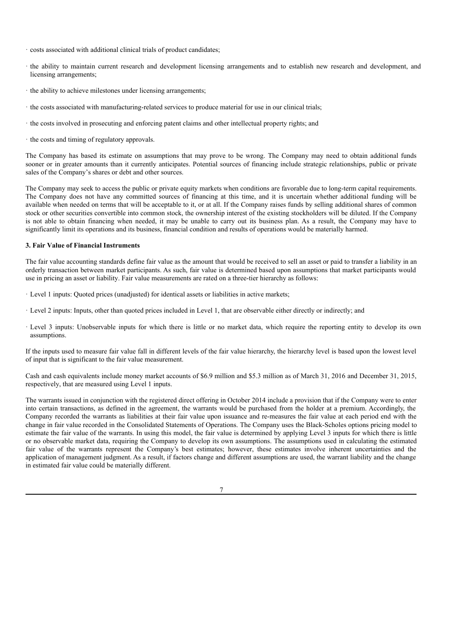- · costs associated with additional clinical trials of product candidates;
- · the ability to maintain current research and development licensing arrangements and to establish new research and development, and licensing arrangements;
- · the ability to achieve milestones under licensing arrangements;
- · the costs associated with manufacturing-related services to produce material for use in our clinical trials;
- · the costs involved in prosecuting and enforcing patent claims and other intellectual property rights; and
- · the costs and timing of regulatory approvals.

The Company has based its estimate on assumptions that may prove to be wrong. The Company may need to obtain additional funds sooner or in greater amounts than it currently anticipates. Potential sources of financing include strategic relationships, public or private sales of the Company's shares or debt and other sources.

The Company may seek to access the public or private equity markets when conditions are favorable due to long-term capital requirements. The Company does not have any committed sources of financing at this time, and it is uncertain whether additional funding will be available when needed on terms that will be acceptable to it, or at all. If the Company raises funds by selling additional shares of common stock or other securities convertible into common stock, the ownership interest of the existing stockholders will be diluted. If the Company is not able to obtain financing when needed, it may be unable to carry out its business plan. As a result, the Company may have to significantly limit its operations and its business, financial condition and results of operations would be materially harmed.

## **3. Fair Value of Financial Instruments**

The fair value accounting standards define fair value as the amount that would be received to sell an asset or paid to transfer a liability in an orderly transaction between market participants. As such, fair value is determined based upon assumptions that market participants would use in pricing an asset or liability. Fair value measurements are rated on a three-tier hierarchy as follows:

- · Level 1 inputs: Quoted prices (unadjusted) for identical assets or liabilities in active markets;
- · Level 2 inputs: Inputs, other than quoted prices included in Level 1, that are observable either directly or indirectly; and
- · Level 3 inputs: Unobservable inputs for which there is little or no market data, which require the reporting entity to develop its own assumptions.

If the inputs used to measure fair value fall in different levels of the fair value hierarchy, the hierarchy level is based upon the lowest level of input that is significant to the fair value measurement.

Cash and cash equivalents include money market accounts of \$6.9 million and \$5.3 million as of March 31, 2016 and December 31, 2015, respectively, that are measured using Level 1 inputs.

The warrants issued in conjunction with the registered direct offering in October 2014 include a provision that if the Company were to enter into certain transactions, as defined in the agreement, the warrants would be purchased from the holder at a premium. Accordingly, the Company recorded the warrants as liabilities at their fair value upon issuance and re-measures the fair value at each period end with the change in fair value recorded in the Consolidated Statements of Operations. The Company uses the Black-Scholes options pricing model to estimate the fair value of the warrants. In using this model, the fair value is determined by applying Level 3 inputs for which there is little or no observable market data, requiring the Company to develop its own assumptions. The assumptions used in calculating the estimated fair value of the warrants represent the Company's best estimates; however, these estimates involve inherent uncertainties and the application of management judgment. As a result, if factors change and different assumptions are used, the warrant liability and the change in estimated fair value could be materially different.

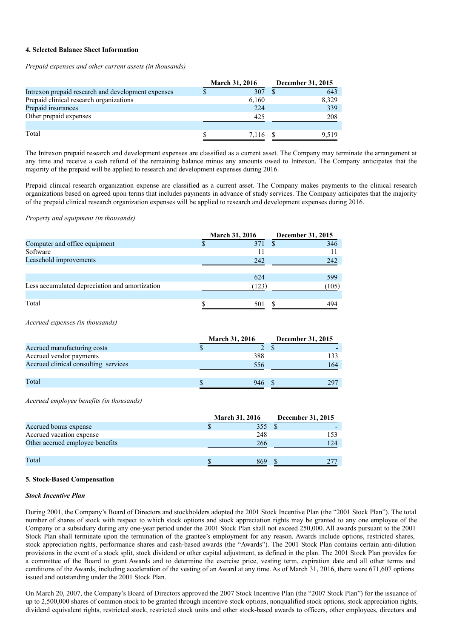### **4. Selected Balance Sheet Information**

*Prepaid expenses and other current assets (in thousands)*

|                                                    | <b>March 31, 2016</b> |       | December 31, 2015 |
|----------------------------------------------------|-----------------------|-------|-------------------|
| Intrexon prepaid research and development expenses |                       | 307   | 643               |
| Prepaid clinical research organizations            |                       | 6,160 | 8,329             |
| Prepaid insurances                                 |                       | 224   | 339               |
| Other prepaid expenses                             |                       | 425   | 208               |
| Total                                              |                       | 7.116 | 9.519             |

The Intrexon prepaid research and development expenses are classified as a current asset. The Company may terminate the arrangement at any time and receive a cash refund of the remaining balance minus any amounts owed to Intrexon. The Company anticipates that the majority of the prepaid will be applied to research and development expenses during 2016.

Prepaid clinical research organization expense are classified as a current asset. The Company makes payments to the clinical research organizations based on agreed upon terms that includes payments in advance of study services. The Company anticipates that the majority of the prepaid clinical research organization expenses will be applied to research and development expenses during 2016.

*Property and equipment (in thousands)*

|                                                | <b>March 31, 2016</b> | December 31, 2015 |  |  |
|------------------------------------------------|-----------------------|-------------------|--|--|
| Computer and office equipment                  | 371                   | 346<br>-8         |  |  |
| Software                                       |                       |                   |  |  |
| Leasehold improvements                         | 242                   | 242               |  |  |
|                                                |                       |                   |  |  |
|                                                | 624                   | 599               |  |  |
| Less accumulated depreciation and amortization | (123)                 | (105)             |  |  |
|                                                |                       |                   |  |  |
| Total                                          |                       |                   |  |  |

*Accrued expenses (in thousands)*

|                                      | <b>March 31, 2016</b> |     | December 31, 2015 |     |
|--------------------------------------|-----------------------|-----|-------------------|-----|
| Accrued manufacturing costs          |                       |     |                   |     |
| Accrued vendor payments              |                       | 388 |                   |     |
| Accrued clinical consulting services |                       | 556 |                   | 164 |
|                                      |                       |     |                   |     |
| Total                                |                       |     |                   | 297 |

*Accrued employee benefits (in thousands)*

|                                 | <b>March 31, 2016</b> |     | December 31, 2015 |     |
|---------------------------------|-----------------------|-----|-------------------|-----|
| Accrued bonus expense           |                       | 355 |                   |     |
| Accrued vacation expense        |                       | 248 |                   | 153 |
| Other accrued employee benefits |                       | 266 |                   | 124 |
|                                 |                       |     |                   |     |
| Total                           |                       | 869 |                   |     |

#### **5. Stock-Based Compensation**

#### *Stock Incentive Plan*

During 2001, the Company's Board of Directors and stockholders adopted the 2001 Stock Incentive Plan (the "2001 Stock Plan"). The total number of shares of stock with respect to which stock options and stock appreciation rights may be granted to any one employee of the Company or a subsidiary during any one-year period under the 2001 Stock Plan shall not exceed 250,000. All awards pursuant to the 2001 Stock Plan shall terminate upon the termination of the grantee's employment for any reason. Awards include options, restricted shares, stock appreciation rights, performance shares and cash-based awards (the "Awards"). The 2001 Stock Plan contains certain anti-dilution provisions in the event of a stock split, stock dividend or other capital adjustment, as defined in the plan. The 2001 Stock Plan provides for a committee of the Board to grant Awards and to determine the exercise price, vesting term, expiration date and all other terms and conditions of the Awards, including acceleration of the vesting of an Award at any time. As of March 31, 2016, there were 671,607 options issued and outstanding under the 2001 Stock Plan.

On March 20, 2007, the Company's Board of Directors approved the 2007 Stock Incentive Plan (the "2007 Stock Plan") for the issuance of up to 2,500,000 shares of common stock to be granted through incentive stock options, nonqualified stock options, stock appreciation rights, dividend equivalent rights, restricted stock, restricted stock units and other stock-based awards to officers, other employees, directors and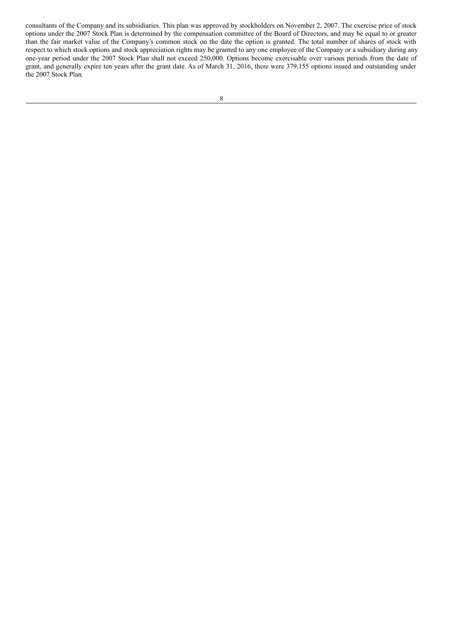consultants of the Company and its subsidiaries. This plan was approved by stockholders on November 2, 2007. The exercise price of stock options under the 2007 Stock Plan is determined by the compensation committee of the Board of Directors, and may be equal to or greater than the fair market value of the Company's common stock on the date the option is granted. The total number of shares of stock with respect to which stock options and stock appreciation rights may be granted to any one employee of the Company or a subsidiary during any one-year period under the 2007 Stock Plan shall not exceed 250,000. Options become exercisable over various periods from the date of grant, and generally expire ten years after the grant date. As of March 31, 2016, there were 379,155 options issued and outstanding under the 2007 Stock Plan.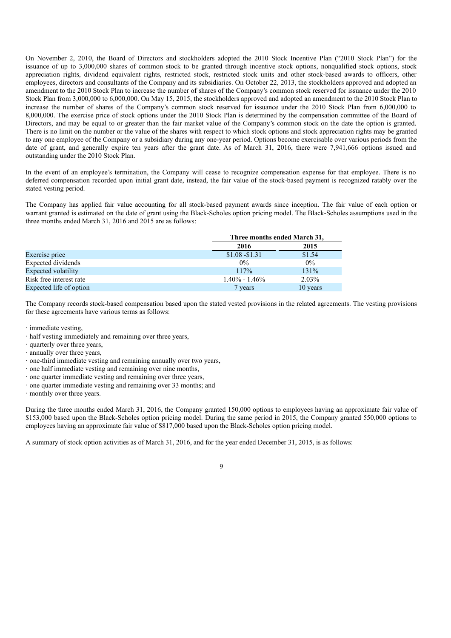On November 2, 2010, the Board of Directors and stockholders adopted the 2010 Stock Incentive Plan ("2010 Stock Plan") for the issuance of up to 3,000,000 shares of common stock to be granted through incentive stock options, nonqualified stock options, stock appreciation rights, dividend equivalent rights, restricted stock, restricted stock units and other stock-based awards to officers, other employees, directors and consultants of the Company and its subsidiaries. On October 22, 2013, the stockholders approved and adopted an amendment to the 2010 Stock Plan to increase the number of shares of the Company's common stock reserved for issuance under the 2010 Stock Plan from 3,000,000 to 6,000,000. On May 15, 2015, the stockholders approved and adopted an amendment to the 2010 Stock Plan to increase the number of shares of the Company's common stock reserved for issuance under the 2010 Stock Plan from 6,000,000 to 8,000,000. The exercise price of stock options under the 2010 Stock Plan is determined by the compensation committee of the Board of Directors, and may be equal to or greater than the fair market value of the Company's common stock on the date the option is granted. There is no limit on the number or the value of the shares with respect to which stock options and stock appreciation rights may be granted to any one employee of the Company or a subsidiary during any one-year period. Options become exercisable over various periods from the date of grant, and generally expire ten years after the grant date. As of March 31, 2016, there were 7,941,666 options issued and outstanding under the 2010 Stock Plan.

In the event of an employee's termination, the Company will cease to recognize compensation expense for that employee. There is no deferred compensation recorded upon initial grant date, instead, the fair value of the stock-based payment is recognized ratably over the stated vesting period.

The Company has applied fair value accounting for all stock-based payment awards since inception. The fair value of each option or warrant granted is estimated on the date of grant using the Black-Scholes option pricing model. The Black-Scholes assumptions used in the three months ended March 31, 2016 and 2015 are as follows:

|                            | Three months ended March 31, |          |
|----------------------------|------------------------------|----------|
|                            | 2016                         | 2015     |
| Exercise price             | $$1.08 - $1.31$              | \$1.54   |
| Expected dividends         | $0\%$                        | $0\%$    |
| <b>Expected volatility</b> | 117%                         | 131%     |
| Risk free interest rate    | $1.40\% - 1.46\%$            | 2.03%    |
| Expected life of option    | 7 years                      | 10 years |

The Company records stock-based compensation based upon the stated vested provisions in the related agreements. The vesting provisions for these agreements have various terms as follows:

- · immediate vesting,
- · half vesting immediately and remaining over three years,
- · quarterly over three years,
- · annually over three years,
- · one-third immediate vesting and remaining annually over two years,
- · one half immediate vesting and remaining over nine months,
- · one quarter immediate vesting and remaining over three years,
- · one quarter immediate vesting and remaining over 33 months; and
- · monthly over three years.

During the three months ended March 31, 2016, the Company granted 150,000 options to employees having an approximate fair value of \$153,000 based upon the Black-Scholes option pricing model. During the same period in 2015, the Company granted 550,000 options to employees having an approximate fair value of \$817,000 based upon the Black-Scholes option pricing model.

A summary of stock option activities as of March 31, 2016, and for the year ended December 31, 2015, is as follows:

### $\alpha$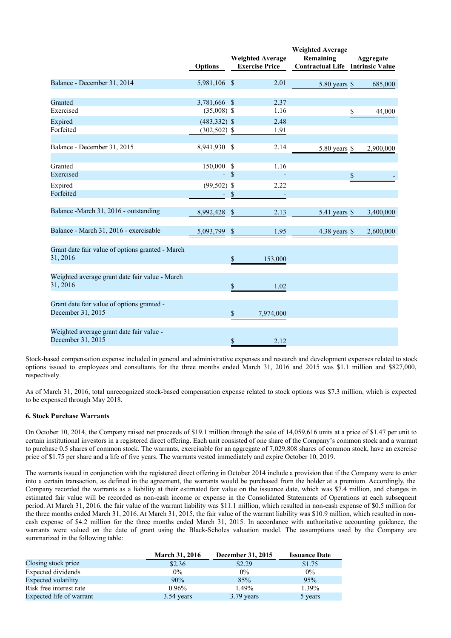|                                                                 | <b>Options</b>  |               | <b>Weighted Average</b><br><b>Exercise Price</b> | <b>Weighted Average</b><br>Remaining<br>Contractual Life Intrinsic Value |              | Aggregate |
|-----------------------------------------------------------------|-----------------|---------------|--------------------------------------------------|--------------------------------------------------------------------------|--------------|-----------|
| Balance - December 31, 2014                                     | 5,981,106 \$    |               | 2.01                                             | $5.80$ years \$                                                          |              | 685,000   |
| Granted                                                         | 3,781,666 \$    |               | 2.37                                             |                                                                          |              |           |
| Exercised                                                       | $(35,008)$ \$   |               | 1.16                                             |                                                                          | S            | 44,000    |
| Expired                                                         | $(483,332)$ \$  |               | 2.48                                             |                                                                          |              |           |
| Forfeited                                                       | $(302, 502)$ \$ |               | 1.91                                             |                                                                          |              |           |
| Balance - December 31, 2015                                     | 8,941,930 \$    |               | 2.14                                             | $5.80$ years \$                                                          |              | 2,900,000 |
| Granted                                                         | 150,000 \$      |               | 1.16                                             |                                                                          |              |           |
| Exercised                                                       | ÷.              | $\mathcal{S}$ |                                                  |                                                                          | $\mathbb{S}$ |           |
| Expired                                                         | $(99,502)$ \$   |               | 2.22                                             |                                                                          |              |           |
| Forfeited                                                       |                 | S             |                                                  |                                                                          |              |           |
|                                                                 |                 |               |                                                  |                                                                          |              |           |
| Balance -March 31, 2016 - outstanding                           | 8,992,428       | \$            | 2.13                                             | $5.41$ years \$                                                          |              | 3,400,000 |
| Balance - March 31, 2016 - exercisable                          | 5,093,799       | \$            | 1.95                                             | 4.38 years $$$                                                           |              | 2,600,000 |
| Grant date fair value of options granted - March<br>31, 2016    |                 | \$            | 153,000                                          |                                                                          |              |           |
| Weighted average grant date fair value - March<br>31, 2016      |                 | $\$$          | 1.02                                             |                                                                          |              |           |
|                                                                 |                 |               |                                                  |                                                                          |              |           |
| Grant date fair value of options granted -<br>December 31, 2015 |                 | $\mathsf{\$}$ | 7,974,000                                        |                                                                          |              |           |
|                                                                 |                 |               |                                                  |                                                                          |              |           |
| Weighted average grant date fair value -<br>December 31, 2015   |                 | \$            | 2.12                                             |                                                                          |              |           |

Stock-based compensation expense included in general and administrative expenses and research and development expenses related to stock options issued to employees and consultants for the three months ended March 31, 2016 and 2015 was \$1.1 million and \$827,000, respectively.

As of March 31, 2016, total unrecognized stock-based compensation expense related to stock options was \$7.3 million, which is expected to be expensed through May 2018.

### **6. Stock Purchase Warrants**

On October 10, 2014, the Company raised net proceeds of \$19.1 million through the sale of 14,059,616 units at a price of \$1.47 per unit to certain institutional investors in a registered direct offering. Each unit consisted of one share of the Company's common stock and a warrant to purchase 0.5 shares of common stock. The warrants, exercisable for an aggregate of 7,029,808 shares of common stock, have an exercise price of \$1.75 per share and a life of five years. The warrants vested immediately and expire October 10, 2019.

The warrants issued in conjunction with the registered direct offering in October 2014 include a provision that if the Company were to enter into a certain transaction, as defined in the agreement, the warrants would be purchased from the holder at a premium. Accordingly, the Company recorded the warrants as a liability at their estimated fair value on the issuance date, which was \$7.4 million, and changes in estimated fair value will be recorded as non-cash income or expense in the Consolidated Statements of Operations at each subsequent period. At March 31, 2016, the fair value of the warrant liability was \$11.1 million, which resulted in non-cash expense of \$0.5 million for the three months ended March 31, 2016. At March 31, 2015, the fair value of the warrant liability was \$10.9 million, which resulted in noncash expense of \$4.2 million for the three months ended March 31, 2015. In accordance with authoritative accounting guidance, the warrants were valued on the date of grant using the Black-Scholes valuation model. The assumptions used by the Company are summarized in the following table:

|                          | <b>March 31, 2016</b> | December 31, 2015 | <b>Issuance Date</b> |
|--------------------------|-----------------------|-------------------|----------------------|
| Closing stock price      | \$2.36                | \$2.29            | \$1.75               |
| Expected dividends       | $0\%$                 | $0\%$             | $0\%$                |
| Expected volatility      | 90%                   | 85%               | 95%                  |
| Risk free interest rate  | $0.96\%$              | 1.49%             | 1.39%                |
| Expected life of warrant | 3.54 years            | 3.79 years        | 5 years              |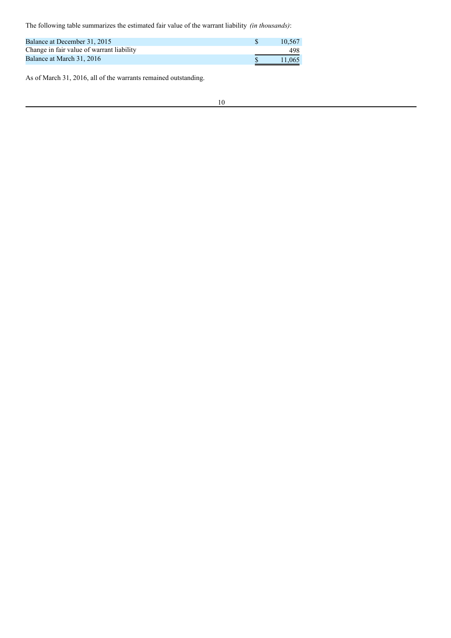The following table summarizes the estimated fair value of the warrant liability *(in thousands)*:

| Balance at December 31, 2015              | 10.567 |
|-------------------------------------------|--------|
| Change in fair value of warrant liability | 498    |
| Balance at March 31, 2016                 | 11.065 |

As of March 31, 2016, all of the warrants remained outstanding.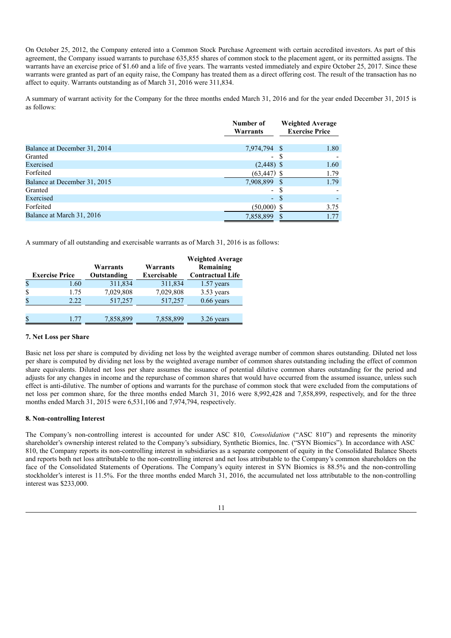On October 25, 2012, the Company entered into a Common Stock Purchase Agreement with certain accredited investors. As part of this agreement, the Company issued warrants to purchase 635,855 shares of common stock to the placement agent, or its permitted assigns. The warrants have an exercise price of \$1.60 and a life of five years. The warrants vested immediately and expire October 25, 2017. Since these warrants were granted as part of an equity raise, the Company has treated them as a direct offering cost. The result of the transaction has no affect to equity. Warrants outstanding as of March 31, 2016 were 311,834.

A summary of warrant activity for the Company for the three months ended March 31, 2016 and for the year ended December 31, 2015 is as follows:

|                              | Number of<br>Warrants | <b>Weighted Average</b><br><b>Exercise Price</b> |  |
|------------------------------|-----------------------|--------------------------------------------------|--|
| Balance at December 31, 2014 | 7,974,794 \$          | 1.80                                             |  |
| Granted                      | $\sim$ $-$            | S                                                |  |
| Exercised                    | $(2,448)$ \$          | 1.60                                             |  |
| Forfeited                    | $(63, 447)$ \$        | 1.79                                             |  |
| Balance at December 31, 2015 | 7,908,899             | 1.79<br>-S                                       |  |
| Granted                      | $\mathcal{L}^{\pm}$   | S                                                |  |
| Exercised                    | - \$                  |                                                  |  |
| Forfeited                    | $(50,000)$ \$         | 3.75                                             |  |
| Balance at March 31, 2016    | 7,858,899             | 1.77<br>S                                        |  |

A summary of all outstanding and exercisable warrants as of March 31, 2016 is as follows:

| <b>Exercise Price</b> | Warrants<br>Outstanding | Warrants<br><b>Exercisable</b> | <b>Weighted Average</b><br>Remaining<br><b>Contractual Life</b> |
|-----------------------|-------------------------|--------------------------------|-----------------------------------------------------------------|
| \$<br>1.60            | 311,834                 | 311,834                        | $1.57$ years                                                    |
| \$<br>1.75            | 7,029,808               | 7,029,808                      | 3.53 years                                                      |
| \$<br>2.22.           | 517,257                 | 517,257                        | $0.66$ years                                                    |
| \$<br>1.77            | 7,858,899               | 7,858,899                      | 3.26 years                                                      |

### **7. Net Loss per Share**

Basic net loss per share is computed by dividing net loss by the weighted average number of common shares outstanding. Diluted net loss per share is computed by dividing net loss by the weighted average number of common shares outstanding including the effect of common share equivalents. Diluted net loss per share assumes the issuance of potential dilutive common shares outstanding for the period and adjusts for any changes in income and the repurchase of common shares that would have occurred from the assumed issuance, unless such effect is anti-dilutive. The number of options and warrants for the purchase of common stock that were excluded from the computations of net loss per common share, for the three months ended March 31, 2016 were 8,992,428 and 7,858,899, respectively, and for the three months ended March 31, 2015 were 6,531,106 and 7,974,794, respectively.

#### **8. Non-controlling Interest**

The Company's non-controlling interest is accounted for under ASC 810, *Consolidation* ("ASC 810") and represents the minority shareholder's ownership interest related to the Company's subsidiary, Synthetic Biomics, Inc. ("SYN Biomics"). In accordance with ASC 810, the Company reports its non-controlling interest in subsidiaries as a separate component of equity in the Consolidated Balance Sheets and reports both net loss attributable to the non-controlling interest and net loss attributable to the Company's common shareholders on the face of the Consolidated Statements of Operations. The Company's equity interest in SYN Biomics is 88.5% and the non-controlling stockholder's interest is 11.5%. For the three months ended March 31, 2016, the accumulated net loss attributable to the non-controlling interest was \$233,000.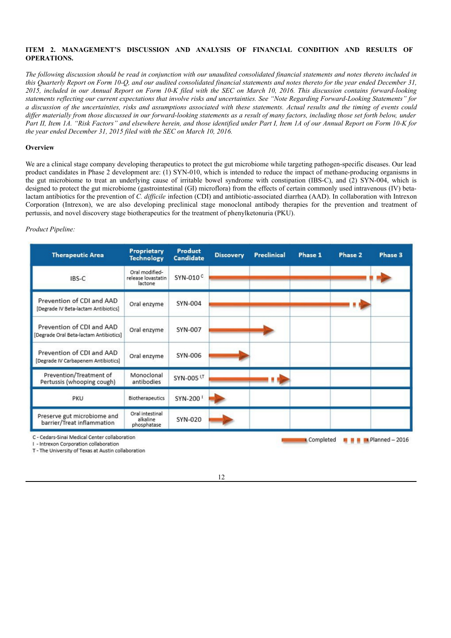## **ITEM 2. MANAGEMENT'S DISCUSSION AND ANALYSIS OF FINANCIAL CONDITION AND RESULTS OF OPERATIONS.**

The following discussion should be read in conjunction with our unaudited consolidated financial statements and notes thereto included in this Quarterly Report on Form 10-Q, and our audited consolidated financial statements and notes thereto for the year ended December 31, 2015, included in our Annual Report on Form 10-K filed with the SEC on March 10, 2016. This discussion contains forward-looking statements reflecting our current expectations that involve risks and uncertainties. See "Note Regarding Forward-Looking Statements" for a discussion of the uncertainties, risks and assumptions associated with these statements. Actual results and the timing of events could differ materially from those discussed in our forward-looking statements as a result of many factors, including those set forth below, under Part II, Item 1A. "Risk Factors" and elsewhere herein, and those identified under Part I, Item 1A of our Annual Report on Form 10-K for *the year ended December 31, 2015 filed with the SEC on March 10, 2016.*

### **Overview**

We are a clinical stage company developing therapeutics to protect the gut microbiome while targeting pathogen-specific diseases. Our lead product candidates in Phase 2 development are: (1) SYN-010, which is intended to reduce the impact of methane-producing organisms in the gut microbiome to treat an underlying cause of irritable bowel syndrome with constipation (IBS-C), and (2) SYN-004, which is designed to protect the gut microbiome (gastrointestinal (GI) microflora) from the effects of certain commonly used intravenous (IV) betalactam antibiotics for the prevention of *C. difficile* infection (CDI) and antibiotic-associated diarrhea (AAD). In collaboration with Intrexon Corporation (Intrexon), we are also developing preclinical stage monoclonal antibody therapies for the prevention and treatment of pertussis, and novel discovery stage biotherapeutics for the treatment of phenylketonuria (PKU).

### *Product Pipeline:*

| <b>Therapeutic Area</b>                                             | Proprietary<br><b>Technology</b>                | Product<br><b>Candidate</b> | <b>Discovery</b> | <b>Preclinical</b> | Phase 1 | Phase 2 | Phase 3 |
|---------------------------------------------------------------------|-------------------------------------------------|-----------------------------|------------------|--------------------|---------|---------|---------|
| IBS-C                                                               | Oral modified-<br>release lovastatin<br>lactone | SYN-010 <sup>C</sup>        |                  |                    |         |         |         |
| Prevention of CDI and AAD<br>[Degrade IV Beta-lactam Antibiotics]   | Oral enzyme                                     | SYN-004                     |                  |                    |         |         |         |
| Prevention of CDI and AAD<br>[Degrade Oral Beta-lactam Antibiotics] | Oral enzyme                                     | SYN-007                     |                  |                    |         |         |         |
| Prevention of CDI and AAD<br>[Degrade IV Carbapenem Antibiotics]    | Oral enzyme                                     | SYN-006                     |                  |                    |         |         |         |
| Prevention/Treatment of<br>Pertussis (whooping cough)               | Monoclonal<br>antibodies                        | SYN-005                     |                  |                    |         |         |         |
| PKU                                                                 | Biotherapeutics                                 | SYN-200 <sup>1</sup>        |                  |                    |         |         |         |
| Preserve gut microbiome and<br>barrier/Treat inflammation           | Oral intestinal<br>alkaline<br>phosphatase      | SYN-020                     |                  |                    |         |         |         |

T - The University of Texas at Austin collaboration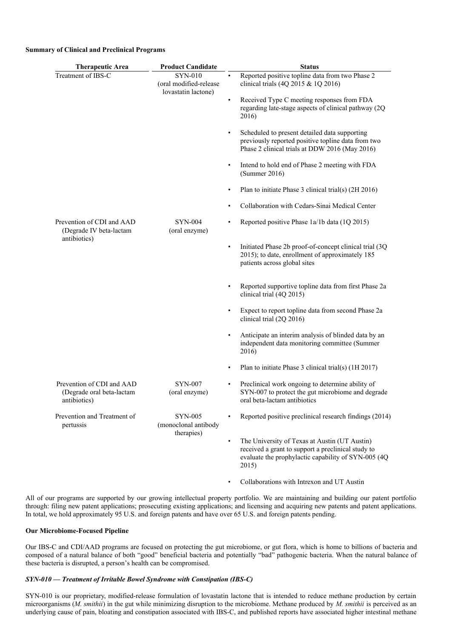### **Summary of Clinical and Preclinical Programs**

| <b>Therapeutic Area</b>                                                | <b>Product Candidate</b>                                        | <b>Status</b>                                                                                                                                                                     |
|------------------------------------------------------------------------|-----------------------------------------------------------------|-----------------------------------------------------------------------------------------------------------------------------------------------------------------------------------|
| Treatment of IBS-C                                                     | <b>SYN-010</b><br>(oral modified-release<br>lovastatin lactone) | Reported positive topline data from two Phase 2<br>clinical trials (4Q 2015 & 1Q 2016)                                                                                            |
|                                                                        |                                                                 | Received Type C meeting responses from FDA<br>$\bullet$<br>regarding late-stage aspects of clinical pathway (2Q<br>2016)                                                          |
|                                                                        |                                                                 | Scheduled to present detailed data supporting<br>$\bullet$<br>previously reported positive topline data from two<br>Phase 2 clinical trials at DDW 2016 (May 2016)                |
|                                                                        |                                                                 | Intend to hold end of Phase 2 meeting with FDA<br>٠<br>(Summer 2016)                                                                                                              |
|                                                                        |                                                                 | Plan to initiate Phase 3 clinical trial(s) $(2H 2016)$                                                                                                                            |
|                                                                        |                                                                 | Collaboration with Cedars-Sinai Medical Center                                                                                                                                    |
| Prevention of CDI and AAD<br>(Degrade IV beta-lactam<br>antibiotics)   | <b>SYN-004</b><br>(oral enzyme)                                 | Reported positive Phase 1a/1b data (1Q 2015)                                                                                                                                      |
|                                                                        |                                                                 | Initiated Phase 2b proof-of-concept clinical trial (3Q)<br>$\bullet$<br>2015); to date, enrollment of approximately 185<br>patients across global sites                           |
|                                                                        |                                                                 | Reported supportive topline data from first Phase 2a<br>clinical trial (4Q 2015)                                                                                                  |
|                                                                        |                                                                 | Expect to report topline data from second Phase 2a<br>$\bullet$<br>clinical trial (2Q 2016)                                                                                       |
|                                                                        |                                                                 | Anticipate an interim analysis of blinded data by an<br>$\bullet$<br>independent data monitoring committee (Summer<br>2016)                                                       |
|                                                                        |                                                                 | Plan to initiate Phase 3 clinical trial(s) (1H 2017)                                                                                                                              |
| Prevention of CDI and AAD<br>(Degrade oral beta-lactam<br>antibiotics) | <b>SYN-007</b><br>(oral enzyme)                                 | Preclinical work ongoing to determine ability of<br>$\bullet$<br>SYN-007 to protect the gut microbiome and degrade<br>oral beta-lactam antibiotics                                |
| Prevention and Treatment of<br>pertussis                               | <b>SYN-005</b><br>(monoclonal antibody<br>therapies)            | Reported positive preclinical research findings (2014)                                                                                                                            |
|                                                                        |                                                                 | The University of Texas at Austin (UT Austin)<br>$\bullet$<br>received a grant to support a preclinical study to<br>evaluate the prophylactic capability of SYN-005 (4Q)<br>2015) |
|                                                                        |                                                                 | Collaborations with Intrexon and UT Austin                                                                                                                                        |

All of our programs are supported by our growing intellectual property portfolio. We are maintaining and building our patent portfolio through: filing new patent applications; prosecuting existing applications; and licensing and acquiring new patents and patent applications. In total, we hold approximately 95 U.S. and foreign patents and have over 65 U.S. and foreign patents pending.

### **Our Microbiome-Focused Pipeline**

Our IBS-C and CDI/AAD programs are focused on protecting the gut microbiome, or gut flora, which is home to billions of bacteria and composed of a natural balance of both "good" beneficial bacteria and potentially "bad" pathogenic bacteria. When the natural balance of these bacteria is disrupted, a person's health can be compromised.

#### *SYN-010 — Treatment of Irritable Bowel Syndrome with Constipation (IBS-C)*

SYN-010 is our proprietary, modified-release formulation of lovastatin lactone that is intended to reduce methane production by certain microorganisms (*M. smithii*) in the gut while minimizing disruption to the microbiome. Methane produced by *M. smithii* is perceived as an underlying cause of pain, bloating and constipation associated with IBS-C, and published reports have associated higher intestinal methane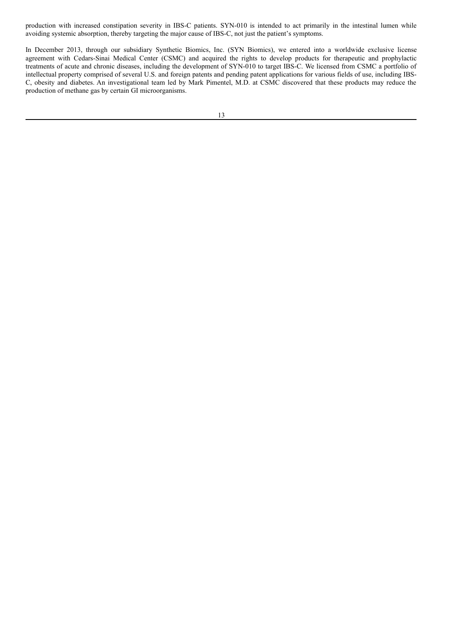production with increased constipation severity in IBS-C patients. SYN-010 is intended to act primarily in the intestinal lumen while avoiding systemic absorption, thereby targeting the major cause of IBS-C, not just the patient's symptoms.

In December 2013, through our subsidiary Synthetic Biomics, Inc. (SYN Biomics), we entered into a worldwide exclusive license agreement with Cedars-Sinai Medical Center (CSMC) and acquired the rights to develop products for therapeutic and prophylactic treatments of acute and chronic diseases, including the development of SYN-010 to target IBS-C. We licensed from CSMC a portfolio of intellectual property comprised of several U.S. and foreign patents and pending patent applications for various fields of use, including IBS-C, obesity and diabetes. An investigational team led by Mark Pimentel, M.D. at CSMC discovered that these products may reduce the production of methane gas by certain GI microorganisms.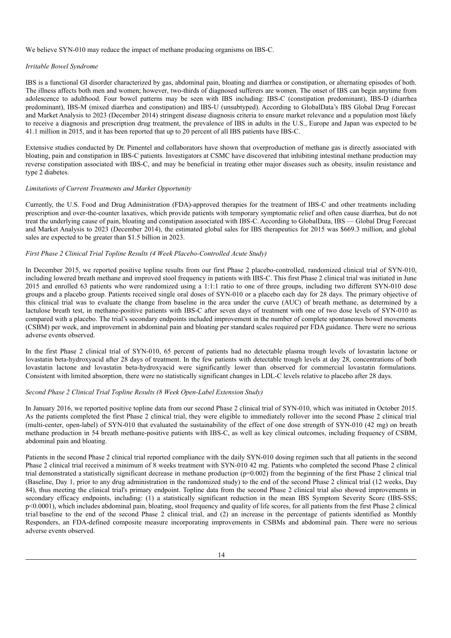We believe SYN-010 may reduce the impact of methane producing organisms on IBS-C.

#### *Irritable Bowel Syndrome*

IBS is a functional GI disorder characterized by gas, abdominal pain, bloating and diarrhea or constipation, or alternating episodes of both. The illness affects both men and women; however, two-thirds of diagnosed sufferers are women. The onset of IBS can begin anytime from adolescence to adulthood. Four bowel patterns may be seen with IBS including: IBS-C (constipation predominant), IBS-D (diarrhea predominant), IBS-M (mixed diarrhea and constipation) and IBS-U (unsubtyped). According to GlobalData's IBS Global Drug Forecast and Market Analysis to 2023 (December 2014) stringent disease diagnosis criteria to ensure market relevance and a population most likely to receive a diagnosis and prescription drug treatment, the prevalence of IBS in adults in the U.S., Europe and Japan was expected to be 41.1 million in 2015, and it has been reported that up to 20 percent of all IBS patients have IBS-C.

Extensive studies conducted by Dr. Pimentel and collaborators have shown that overproduction of methane gas is directly associated with bloating, pain and constipation in IBS-C patients. Investigators at CSMC have discovered that inhibiting intestinal methane production may reverse constipation associated with IBS-C, and may be beneficial in treating other major diseases such as obesity, insulin resistance and type 2 diabetes.

#### *Limitations of Current Treatments and Market Opportunity*

Currently, the U.S. Food and Drug Administration (FDA)-approved therapies for the treatment of IBS-C and other treatments including prescription and over-the-counter laxatives, which provide patients with temporary symptomatic relief and often cause diarrhea, but do not treat the underlying cause of pain, bloating and constipation associated with IBS-C. According to GlobalData, IBS — Global Drug Forecast and Market Analysis to 2023 (December 2014), the estimated global sales for IBS therapeutics for 2015 was \$669.3 million, and global sales are expected to be greater than \$1.5 billion in 2023.

## *First Phase 2 Clinical Trial Topline Results (4 Week Placebo-Controlled Acute Study)*

In December 2015, we reported positive topline results from our first Phase 2 placebo-controlled, randomized clinical trial of SYN-010, including lowered breath methane and improved stool frequency in patients with IBS-C. This first Phase 2 clinical trial was initiated in June 2015 and enrolled 63 patients who were randomized using a 1:1:1 ratio to one of three groups, including two different SYN-010 dose groups and a placebo group. Patients received single oral doses of SYN-010 or a placebo each day for 28 days. The primary objective of this clinical trial was to evaluate the change from baseline in the area under the curve (AUC) of breath methane, as determined by a lactulose breath test, in methane-positive patients with IBS-C after seven days of treatment with one of two dose levels of SYN-010 as compared with a placebo. The trial's secondary endpoints included improvement in the number of complete spontaneous bowel movements (CSBM) per week, and improvement in abdominal pain and bloating per standard scales required per FDA guidance. There were no serious adverse events observed.

In the first Phase 2 clinical trial of SYN-010, 65 percent of patients had no detectable plasma trough levels of lovastatin lactone or lovastatin beta-hydroxyacid after 28 days of treatment. In the few patients with detectable trough levels at day 28, concentrations of both lovastatin lactone and lovastatin beta-hydroxyacid were significantly lower than observed for commercial lovastatin formulations. Consistent with limited absorption, there were no statistically significant changes in LDL-C levels relative to placebo after 28 days.

#### *Second Phase 2 Clinical Trial Topline Results (8 Week Open-Label Extension Study)*

In January 2016, we reported positive topline data from our second Phase 2 clinical trial of SYN-010, which was initiated in October 2015. As the patients completed the first Phase 2 clinical trial, they were eligible to immediately rollover into the second Phase 2 clinical trial (multi-center, open-label) of SYN-010 that evaluated the sustainability of the effect of one dose strength of SYN-010 (42 mg) on breath methane production in 54 breath methane-positive patients with IBS-C, as well as key clinical outcomes, including frequency of CSBM, abdominal pain and bloating.

Patients in the second Phase 2 clinical trial reported compliance with the daily SYN-010 dosing regimen such that all patients in the second Phase 2 clinical trial received a minimum of 8 weeks treatment with SYN-010 42 mg. Patients who completed the second Phase 2 clinical trial demonstrated a statistically significant decrease in methane production (p=0.002) from the beginning of the first Phase 2 clinical trial (Baseline, Day 1, prior to any drug administration in the randomized study) to the end of the second Phase 2 clinical trial (12 weeks, Day 84), thus meeting the clinical trial's primary endpoint. Topline data from the second Phase 2 clinical trial also showed improvements in secondary efficacy endpoints, including: (1) a statistically significant reduction in the mean IBS Symptom Severity Score (IBS-SSS; p<0.0001), which includes abdominal pain, bloating, stool frequency and quality of life scores, for all patients from the first Phase 2 clinical trial baseline to the end of the second Phase 2 clinical trial, and (2) an increase in the percentage of patients identified as Monthly Responders, an FDA-defined composite measure incorporating improvements in CSBMs and abdominal pain. There were no serious adverse events observed.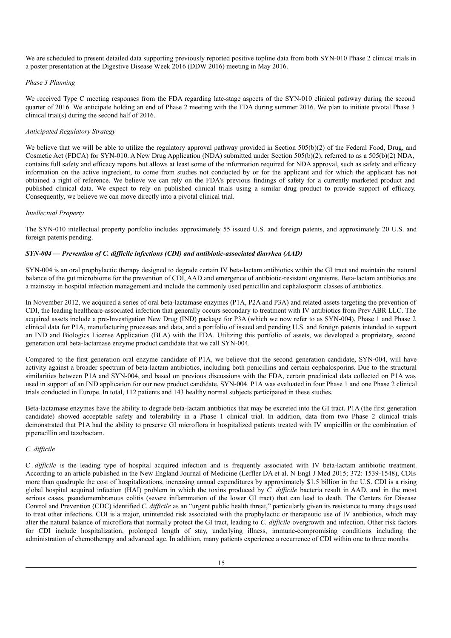We are scheduled to present detailed data supporting previously reported positive topline data from both SYN-010 Phase 2 clinical trials in a poster presentation at the Digestive Disease Week 2016 (DDW 2016) meeting in May 2016.

### *Phase 3 Planning*

We received Type C meeting responses from the FDA regarding late-stage aspects of the SYN-010 clinical pathway during the second quarter of 2016. We anticipate holding an end of Phase 2 meeting with the FDA during summer 2016. We plan to initiate pivotal Phase 3 clinical trial(s) during the second half of 2016.

## *Anticipated Regulatory Strategy*

We believe that we will be able to utilize the regulatory approval pathway provided in Section 505(b)(2) of the Federal Food, Drug, and Cosmetic Act (FDCA) for SYN-010. A New Drug Application (NDA) submitted under Section 505(b)(2), referred to as a 505(b)(2) NDA, contains full safety and efficacy reports but allows at least some of the information required for NDA approval, such as safety and efficacy information on the active ingredient, to come from studies not conducted by or for the applicant and for which the applicant has not obtained a right of reference. We believe we can rely on the FDA's previous findings of safety for a currently marketed product and published clinical data. We expect to rely on published clinical trials using a similar drug product to provide support of efficacy. Consequently, we believe we can move directly into a pivotal clinical trial.

### *Intellectual Property*

The SYN-010 intellectual property portfolio includes approximately 55 issued U.S. and foreign patents, and approximately 20 U.S. and foreign patents pending.

## *SYN-004 — Prevention of C. dif icile infections (CDI) and antibiotic-associated diarrhea (AAD)*

SYN-004 is an oral prophylactic therapy designed to degrade certain IV beta-lactam antibiotics within the GI tract and maintain the natural balance of the gut microbiome for the prevention of CDI, AAD and emergence of antibiotic-resistant organisms. Beta-lactam antibiotics are a mainstay in hospital infection management and include the commonly used penicillin and cephalosporin classes of antibiotics.

In November 2012, we acquired a series of oral beta-lactamase enzymes (P1A, P2A and P3A) and related assets targeting the prevention of CDI, the leading healthcare-associated infection that generally occurs secondary to treatment with IV antibiotics from Prev ABR LLC. The acquired assets include a pre-Investigation New Drug (IND) package for P3A (which we now refer to as SYN-004), Phase 1 and Phase 2 clinical data for P1A, manufacturing processes and data, and a portfolio of issued and pending U.S. and foreign patents intended to support an IND and Biologics License Application (BLA) with the FDA. Utilizing this portfolio of assets, we developed a proprietary, second generation oral beta-lactamase enzyme product candidate that we call SYN-004.

Compared to the first generation oral enzyme candidate of P1A, we believe that the second generation candidate, SYN-004, will have activity against a broader spectrum of beta-lactam antibiotics, including both penicillins and certain cephalosporins. Due to the structural similarities between P1A and SYN-004, and based on previous discussions with the FDA, certain preclinical data collected on P1A was used in support of an IND application for our new product candidate, SYN-004. P1A was evaluated in four Phase 1 and one Phase 2 clinical trials conducted in Europe. In total, 112 patients and 143 healthy normal subjects participated in these studies.

Beta-lactamase enzymes have the ability to degrade beta-lactam antibiotics that may be excreted into the GI tract. P1A (the first generation candidate) showed acceptable safety and tolerability in a Phase 1 clinical trial. In addition, data from two Phase 2 clinical trials demonstrated that P1A had the ability to preserve GI microflora in hospitalized patients treated with IV ampicillin or the combination of piperacillin and tazobactam.

## *C. dif icile*

C *difficile* is the leading type of hospital acquired infection and is frequently associated with IV beta-lactam antibiotic treatment. According to an article published in the New England Journal of Medicine (Leffler DA et al. N Engl J Med 2015; 372: 1539-1548), CDIs more than quadruple the cost of hospitalizations, increasing annual expenditures by approximately \$1.5 billion in the U.S. CDI is a rising global hospital acquired infection (HAI) problem in which the toxins produced by *C. dif icile* bacteria result in AAD, and in the most serious cases, pseudomembranous colitis (severe inflammation of the lower GI tract) that can lead to death. The Centers for Disease Control and Prevention (CDC) identified *C. difficile* as an "urgent public health threat," particularly given its resistance to many drugs used to treat other infections. CDI is a major, unintended risk associated with the prophylactic or therapeutic use of IV antibiotics, which may alter the natural balance of microflora that normally protect the GI tract, leading to *C. difficile* overgrowth and infection. Other risk factors for CDI include hospitalization, prolonged length of stay, underlying illness, immune-compromising conditions including the administration of chemotherapy and advanced age. In addition, many patients experience a recurrence of CDI within one to three months.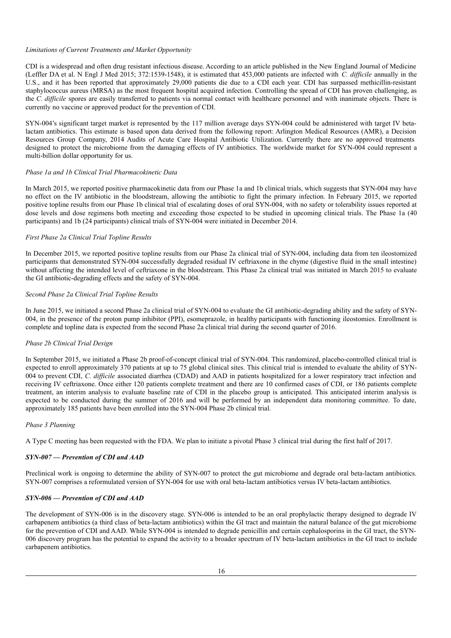## *Limitations of Current Treatments and Market Opportunity*

CDI is a widespread and often drug resistant infectious disease. According to an article published in the New England Journal of Medicine (Leffler DA et al. N Engl J Med 2015; 372:1539-1548), it is estimated that 453,000 patients are infected with *C. dif icile* annually in the U.S., and it has been reported that approximately 29,000 patients die due to a CDI each year. CDI has surpassed methicillin-resistant staphylococcus aureus (MRSA) as the most frequent hospital acquired infection. Controlling the spread of CDI has proven challenging, as the *C. dif icile* spores are easily transferred to patients via normal contact with healthcare personnel and with inanimate objects. There is currently no vaccine or approved product for the prevention of CDI.

SYN-004's significant target market is represented by the 117 million average days SYN-004 could be administered with target IV betalactam antibiotics. This estimate is based upon data derived from the following report: Arlington Medical Resources (AMR), a Decision Resources Group Company, 2014 Audits of Acute Care Hospital Antibiotic Utilization. Currently there are no approved treatments designed to protect the microbiome from the damaging effects of IV antibiotics. The worldwide market for SYN-004 could represent a multi-billion dollar opportunity for us.

## *Phase 1a and 1b Clinical Trial Pharmacokinetic Data*

In March 2015, we reported positive pharmacokinetic data from our Phase 1a and 1b clinical trials, which suggests that SYN-004 may have no effect on the IV antibiotic in the bloodstream, allowing the antibiotic to fight the primary infection. In February 2015, we reported positive topline results from our Phase 1b clinical trial of escalating doses of oral SYN-004, with no safety or tolerability issues reported at dose levels and dose regimens both meeting and exceeding those expected to be studied in upcoming clinical trials. The Phase 1a (40) participants) and 1b (24 participants) clinical trials of SYN-004 were initiated in December 2014.

### *First Phase 2a Clinical Trial Topline Results*

In December 2015, we reported positive topline results from our Phase 2a clinical trial of SYN-004, including data from ten ileostomized participants that demonstrated SYN-004 successfully degraded residual IV ceftriaxone in the chyme (digestive fluid in the small intestine) without affecting the intended level of ceftriaxone in the bloodstream. This Phase 2a clinical trial was initiated in March 2015 to evaluate the GI antibiotic-degrading effects and the safety of SYN-004.

## *Second Phase 2a Clinical Trial Topline Results*

In June 2015, we initiated a second Phase 2a clinical trial of SYN-004 to evaluate the GI antibiotic-degrading ability and the safety of SYN-004, in the presence of the proton pump inhibitor (PPI), esomeprazole, in healthy participants with functioning ileostomies. Enrollment is complete and topline data is expected from the second Phase 2a clinical trial during the second quarter of 2016.

## *Phase 2b Clinical Trial Design*

In September 2015, we initiated a Phase 2b proof-of-concept clinical trial of SYN-004. This randomized, placebo-controlled clinical trial is expected to enroll approximately 370 patients at up to 75 global clinical sites. This clinical trial is intended to evaluate the ability of SYN-004 to prevent CDI, *C. difficile* associated diarrhea (CDAD) and AAD in patients hospitalized for a lower respiratory tract infection and receiving IV ceftriaxone. Once either 120 patients complete treatment and there are 10 confirmed cases of CDI, or 186 patients complete treatment, an interim analysis to evaluate baseline rate of CDI in the placebo group is anticipated. This anticipated interim analysis is expected to be conducted during the summer of 2016 and will be performed by an independent data monitoring committee. To date, approximately 185 patients have been enrolled into the SYN-004 Phase 2b clinical trial.

### *Phase 3 Planning*

A Type C meeting has been requested with the FDA. We plan to initiate a pivotal Phase 3 clinical trial during the first half of 2017.

### *SYN-007 — Prevention of CDI and AAD*

Preclinical work is ongoing to determine the ability of SYN-007 to protect the gut microbiome and degrade oral beta-lactam antibiotics. SYN-007 comprises a reformulated version of SYN-004 for use with oral beta-lactam antibiotics versus IV beta-lactam antibiotics.

### *SYN-006 — Prevention of CDI and AAD*

The development of SYN-006 is in the discovery stage. SYN-006 is intended to be an oral prophylactic therapy designed to degrade IV carbapenem antibiotics (a third class of beta-lactam antibiotics) within the GI tract and maintain the natural balance of the gut microbiome for the prevention of CDI and AAD. While SYN-004 is intended to degrade penicillin and certain cephalosporins in the GI tract, the SYN-006 discovery program has the potential to expand the activity to a broader spectrum of IV beta-lactam antibiotics in the GI tract to include carbapenem antibiotics.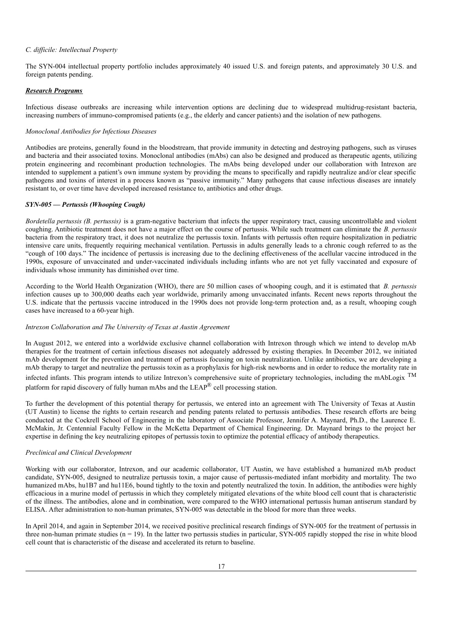## *C. dif icile: Intellectual Property*

The SYN-004 intellectual property portfolio includes approximately 40 issued U.S. and foreign patents, and approximately 30 U.S. and foreign patents pending.

### *Research Programs*

Infectious disease outbreaks are increasing while intervention options are declining due to widespread multidrug-resistant bacteria, increasing numbers of immuno-compromised patients (e.g., the elderly and cancer patients) and the isolation of new pathogens.

### *Monoclonal Antibodies for Infectious Diseases*

Antibodies are proteins, generally found in the bloodstream, that provide immunity in detecting and destroying pathogens, such as viruses and bacteria and their associated toxins. Monoclonal antibodies (mAbs) can also be designed and produced as therapeutic agents, utilizing protein engineering and recombinant production technologies. The mAbs being developed under our collaboration with Intrexon are intended to supplement a patient's own immune system by providing the means to specifically and rapidly neutralize and/or clear specific pathogens and toxins of interest in a process known as "passive immunity." Many pathogens that cause infectious diseases are innately resistant to, or over time have developed increased resistance to, antibiotics and other drugs.

## *SYN-005 — Pertussis (Whooping Cough)*

*Bordetella pertussis (B. pertussis)* is a gram-negative bacterium that infects the upper respiratory tract, causing uncontrollable and violent coughing. Antibiotic treatment does not have a major effect on the course of pertussis. While such treatment can eliminate the *B. pertussis* bacteria from the respiratory tract, it does not neutralize the pertussis toxin. Infants with pertussis often require hospitalization in pediatric intensive care units, frequently requiring mechanical ventilation. Pertussis in adults generally leads to a chronic cough referred to as the "cough of 100 days." The incidence of pertussis is increasing due to the declining effectiveness of the acellular vaccine introduced in the 1990s, exposure of unvaccinated and under-vaccinated individuals including infants who are not yet fully vaccinated and exposure of individuals whose immunity has diminished over time.

According to the World Health Organization (WHO), there are 50 million cases of whooping cough, and it is estimated that *B. pertussis* infection causes up to 300,000 deaths each year worldwide, primarily among unvaccinated infants. Recent news reports throughout the U.S. indicate that the pertussis vaccine introduced in the 1990s does not provide long-term protection and, as a result, whooping cough cases have increased to a 60-year high.

### *Intrexon Collaboration and The University of Texas at Austin Agreement*

In August 2012, we entered into a worldwide exclusive channel collaboration with Intrexon through which we intend to develop mAb therapies for the treatment of certain infectious diseases not adequately addressed by existing therapies. In December 2012, we initiated mAb development for the prevention and treatment of pertussis focusing on toxin neutralization. Unlike antibiotics, we are developing a mAb therapy to target and neutralize the pertussis toxin as a prophylaxis for high-risk newborns and in order to reduce the mortality rate in infected infants. This program intends to utilize Intrexon's comprehensive suite of proprietary technologies, including the mAbLogix  $TM$ platform for rapid discovery of fully human mAbs and the LEAP $^{\circledR}$  cell processing station.

To further the development of this potential therapy for pertussis, we entered into an agreement with The University of Texas at Austin (UT Austin) to license the rights to certain research and pending patents related to pertussis antibodies. These research efforts are being conducted at the Cockrell School of Engineering in the laboratory of Associate Professor, Jennifer A. Maynard, Ph.D., the Laurence E. McMakin, Jr. Centennial Faculty Fellow in the McKetta Department of Chemical Engineering. Dr. Maynard brings to the project her expertise in defining the key neutralizing epitopes of pertussis toxin to optimize the potential efficacy of antibody therapeutics.

### *Preclinical and Clinical Development*

Working with our collaborator, Intrexon, and our academic collaborator, UT Austin, we have established a humanized mAb product candidate, SYN-005, designed to neutralize pertussis toxin, a major cause of pertussis-mediated infant morbidity and mortality. The two humanized mAbs, hu1B7 and hu11E6, bound tightly to the toxin and potently neutralized the toxin. In addition, the antibodies were highly efficacious in a murine model of pertussis in which they completely mitigated elevations of the white blood cell count that is characteristic of the illness. The antibodies, alone and in combination, were compared to the WHO international pertussis human antiserum standard by ELISA. After administration to non-human primates, SYN-005 was detectable in the blood for more than three weeks.

In April 2014, and again in September 2014, we received positive preclinical research findings of SYN-005 for the treatment of pertussis in three non-human primate studies  $(n = 19)$ . In the latter two pertussis studies in particular, SYN-005 rapidly stopped the rise in white blood cell count that is characteristic of the disease and accelerated its return to baseline.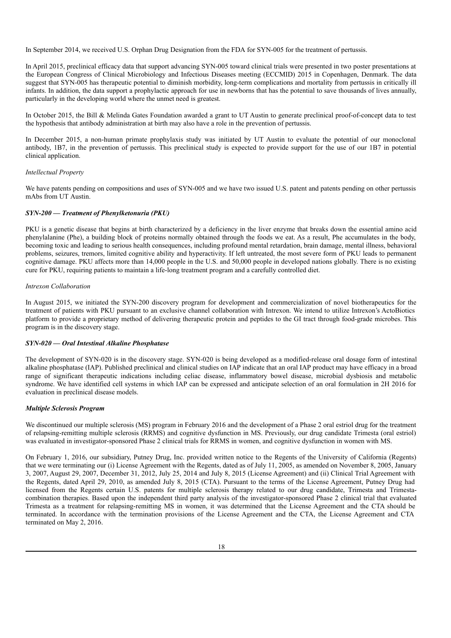In September 2014, we received U.S. Orphan Drug Designation from the FDA for SYN-005 for the treatment of pertussis.

In April 2015, preclinical efficacy data that support advancing SYN-005 toward clinical trials were presented in two poster presentations at the European Congress of Clinical Microbiology and Infectious Diseases meeting (ECCMID) 2015 in Copenhagen, Denmark. The data suggest that SYN-005 has therapeutic potential to diminish morbidity, long-term complications and mortality from pertussis in critically ill infants. In addition, the data support a prophylactic approach for use in newborns that has the potential to save thousands of lives annually, particularly in the developing world where the unmet need is greatest.

In October 2015, the Bill & Melinda Gates Foundation awarded a grant to UT Austin to generate preclinical proof-of-concept data to test the hypothesis that antibody administration at birth may also have a role in the prevention of pertussis.

In December 2015, a non-human primate prophylaxis study was initiated by UT Austin to evaluate the potential of our monoclonal antibody, 1B7, in the prevention of pertussis. This preclinical study is expected to provide support for the use of our 1B7 in potential clinical application.

#### *Intellectual Property*

We have patents pending on compositions and uses of SYN-005 and we have two issued U.S. patent and patents pending on other pertussis mAbs from UT Austin.

#### *SYN-200 — Treatment of Phenylketonuria (PKU)*

PKU is a genetic disease that begins at birth characterized by a deficiency in the liver enzyme that breaks down the essential amino acid phenylalanine (Phe), a building block of proteins normally obtained through the foods we eat. As a result, Phe accumulates in the body, becoming toxic and leading to serious health consequences, including profound mental retardation, brain damage, mental illness, behavioral problems, seizures, tremors, limited cognitive ability and hyperactivity. If left untreated, the most severe form of PKU leads to permanent cognitive damage. PKU affects more than 14,000 people in the U.S. and 50,000 people in developed nations globally. There is no existing cure for PKU, requiring patients to maintain a life-long treatment program and a carefully controlled diet.

#### *Intrexon Collaboration*

In August 2015, we initiated the SYN-200 discovery program for development and commercialization of novel biotherapeutics for the treatment of patients with PKU pursuant to an exclusive channel collaboration with Intrexon. We intend to utilize Intrexon's ActoBiotics platform to provide a proprietary method of delivering therapeutic protein and peptides to the GI tract through food-grade microbes. This program is in the discovery stage.

### *SYN-020 — Oral Intestinal Alkaline Phosphatase*

The development of SYN-020 is in the discovery stage. SYN-020 is being developed as a modified-release oral dosage form of intestinal alkaline phosphatase (IAP). Published preclinical and clinical studies on IAP indicate that an oral IAP product may have efficacy in a broad range of significant therapeutic indications including celiac disease, inflammatory bowel disease, microbial dysbiosis and metabolic syndrome. We have identified cell systems in which IAP can be expressed and anticipate selection of an oral formulation in 2H 2016 for evaluation in preclinical disease models.

### *Multiple Sclerosis Program*

We discontinued our multiple sclerosis (MS) program in February 2016 and the development of a Phase 2 oral estriol drug for the treatment of relapsing-remitting multiple sclerosis (RRMS) and cognitive dysfunction in MS. Previously, our drug candidate Trimesta (oral estriol) was evaluated in investigator-sponsored Phase 2 clinical trials for RRMS in women, and cognitive dysfunction in women with MS.

On February 1, 2016, our subsidiary, Putney Drug, Inc. provided written notice to the Regents of the University of California (Regents) that we were terminating our (i) License Agreement with the Regents, dated as of July 11, 2005, as amended on November 8, 2005, January 3, 2007, August 29, 2007, December 31, 2012, July 25, 2014 and July 8, 2015 (License Agreement) and (ii) Clinical Trial Agreement with the Regents, dated April 29, 2010, as amended July 8, 2015 (CTA). Pursuant to the terms of the License Agreement, Putney Drug had licensed from the Regents certain U.S. patents for multiple sclerosis therapy related to our drug candidate, Trimesta and Trimestacombination therapies. Based upon the independent third party analysis of the investigator-sponsored Phase 2 clinical trial that evaluated Trimesta as a treatment for relapsing-remitting MS in women, it was determined that the License Agreement and the CTA should be terminated. In accordance with the termination provisions of the License Agreement and the CTA, the License Agreement and CTA terminated on May 2, 2016.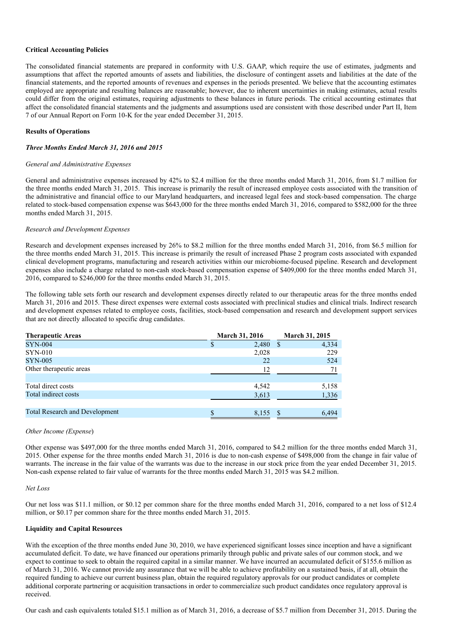#### **Critical Accounting Policies**

The consolidated financial statements are prepared in conformity with U.S. GAAP, which require the use of estimates, judgments and assumptions that affect the reported amounts of assets and liabilities, the disclosure of contingent assets and liabilities at the date of the financial statements, and the reported amounts of revenues and expenses in the periods presented. We believe that the accounting estimates employed are appropriate and resulting balances are reasonable; however, due to inherent uncertainties in making estimates, actual results could differ from the original estimates, requiring adjustments to these balances in future periods. The critical accounting estimates that affect the consolidated financial statements and the judgments and assumptions used are consistent with those described under Part II, Item 7 of our Annual Report on Form 10-K for the year ended December 31, 2015.

#### **Results of Operations**

#### *Three Months Ended March 31, 2016 and 2015*

#### *General and Administrative Expenses*

General and administrative expenses increased by 42% to \$2.4 million for the three months ended March 31, 2016, from \$1.7 million for the three months ended March 31, 2015. This increase is primarily the result of increased employee costs associated with the transition of the administrative and financial office to our Maryland headquarters, and increased legal fees and stock-based compensation. The charge related to stock-based compensation expense was \$643,000 for the three months ended March 31, 2016, compared to \$582,000 for the three months ended March 31, 2015.

#### *Research and Development Expenses*

Research and development expenses increased by 26% to \$8.2 million for the three months ended March 31, 2016, from \$6.5 million for the three months ended March 31, 2015. This increase is primarily the result of increased Phase 2 program costs associated with expanded clinical development programs, manufacturing and research activities within our microbiome-focused pipeline. Research and development expenses also include a charge related to non-cash stock-based compensation expense of \$409,000 for the three months ended March 31, 2016, compared to \$246,000 for the three months ended March 31, 2015.

The following table sets forth our research and development expenses directly related to our therapeutic areas for the three months ended March 31, 2016 and 2015. These direct expenses were external costs associated with preclinical studies and clinical trials. Indirect research and development expenses related to employee costs, facilities, stock-based compensation and research and development support services that are not directly allocated to specific drug candidates.

| <b>Therapeutic Areas</b>              | March 31, 2016 | March 31, 2015 |
|---------------------------------------|----------------|----------------|
| <b>SYN-004</b>                        | 2,480<br>\$    | -S<br>4,334    |
| <b>SYN-010</b>                        | 2,028          | 229            |
| <b>SYN-005</b>                        | 22             | 524            |
| Other therapeutic areas               | 12             |                |
|                                       |                |                |
| Total direct costs                    | 4,542          | 5,158          |
| Total indirect costs                  | 3,613          | 1,336          |
|                                       |                |                |
| <b>Total Research and Development</b> | 8,155          | 6.494<br>-S    |

#### *Other Income (Expense*)

Other expense was \$497,000 for the three months ended March 31, 2016, compared to \$4.2 million for the three months ended March 31, 2015. Other expense for the three months ended March 31, 2016 is due to non-cash expense of \$498,000 from the change in fair value of warrants. The increase in the fair value of the warrants was due to the increase in our stock price from the year ended December 31, 2015. Non-cash expense related to fair value of warrants for the three months ended March 31, 2015 was \$4.2 million.

#### *Net Loss*

Our net loss was \$11.1 million, or \$0.12 per common share for the three months ended March 31, 2016, compared to a net loss of \$12.4 million, or \$0.17 per common share for the three months ended March 31, 2015.

### **Liquidity and Capital Resources**

With the exception of the three months ended June 30, 2010, we have experienced significant losses since inception and have a significant accumulated deficit. To date, we have financed our operations primarily through public and private sales of our common stock, and we expect to continue to seek to obtain the required capital in a similar manner. We have incurred an accumulated deficit of \$155.6 million as of March 31, 2016. We cannot provide any assurance that we will be able to achieve profitability on a sustained basis, if at all, obtain the required funding to achieve our current business plan, obtain the required regulatory approvals for our product candidates or complete additional corporate partnering or acquisition transactions in order to commercialize such product candidates once regulatory approval is received.

Our cash and cash equivalents totaled \$15.1 million as of March 31, 2016, a decrease of \$5.7 million from December 31, 2015. During the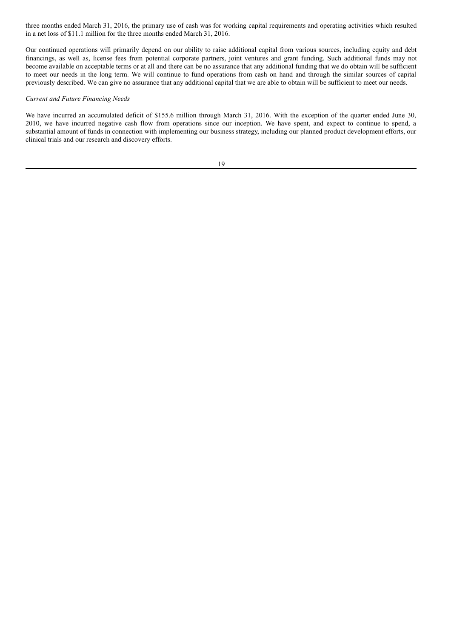three months ended March 31, 2016, the primary use of cash was for working capital requirements and operating activities which resulted in a net loss of \$11.1 million for the three months ended March 31, 2016.

Our continued operations will primarily depend on our ability to raise additional capital from various sources, including equity and debt financings, as well as, license fees from potential corporate partners, joint ventures and grant funding. Such additional funds may not become available on acceptable terms or at all and there can be no assurance that any additional funding that we do obtain will be sufficient to meet our needs in the long term. We will continue to fund operations from cash on hand and through the similar sources of capital previously described. We can give no assurance that any additional capital that we are able to obtain will be sufficient to meet our needs.

#### *Current and Future Financing Needs*

We have incurred an accumulated deficit of \$155.6 million through March 31, 2016. With the exception of the quarter ended June 30, 2010, we have incurred negative cash flow from operations since our inception. We have spent, and expect to continue to spend, a substantial amount of funds in connection with implementing our business strategy, including our planned product development efforts, our clinical trials and our research and discovery efforts.

| ٠ | ٠<br>¢<br>۰.  |
|---|---------------|
|   | ۰,<br>I<br>۰. |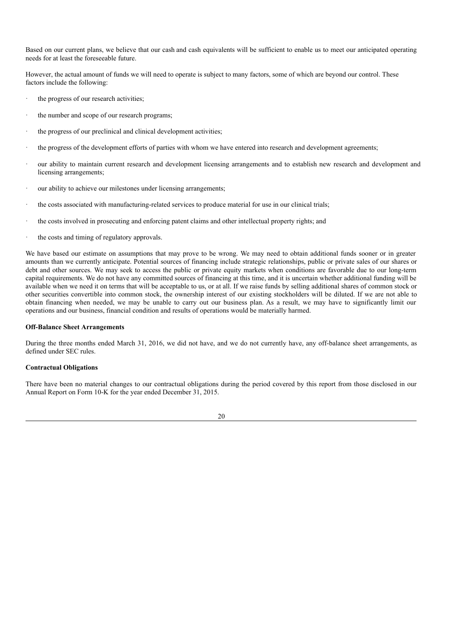Based on our current plans, we believe that our cash and cash equivalents will be sufficient to enable us to meet our anticipated operating needs for at least the foreseeable future.

However, the actual amount of funds we will need to operate is subject to many factors, some of which are beyond our control. These factors include the following:

- · the progress of our research activities;
- the number and scope of our research programs;
- the progress of our preclinical and clinical development activities;
- the progress of the development efforts of parties with whom we have entered into research and development agreements;
- · our ability to maintain current research and development licensing arrangements and to establish new research and development and licensing arrangements;
- · our ability to achieve our milestones under licensing arrangements;
- · the costs associated with manufacturing-related services to produce material for use in our clinical trials;
- the costs involved in prosecuting and enforcing patent claims and other intellectual property rights; and
- the costs and timing of regulatory approvals.

We have based our estimate on assumptions that may prove to be wrong. We may need to obtain additional funds sooner or in greater amounts than we currently anticipate. Potential sources of financing include strategic relationships, public or private sales of our shares or debt and other sources. We may seek to access the public or private equity markets when conditions are favorable due to our long-term capital requirements. We do not have any committed sources of financing at this time, and it is uncertain whether additional funding will be available when we need it on terms that will be acceptable to us, or at all. If we raise funds by selling additional shares of common stock or other securities convertible into common stock, the ownership interest of our existing stockholders will be diluted. If we are not able to obtain financing when needed, we may be unable to carry out our business plan. As a result, we may have to significantly limit our operations and our business, financial condition and results of operations would be materially harmed.

#### **Off-Balance Sheet Arrangements**

During the three months ended March 31, 2016, we did not have, and we do not currently have, any off-balance sheet arrangements, as defined under SEC rules.

#### **Contractual Obligations**

There have been no material changes to our contractual obligations during the period covered by this report from those disclosed in our Annual Report on Form 10-K for the year ended December 31, 2015.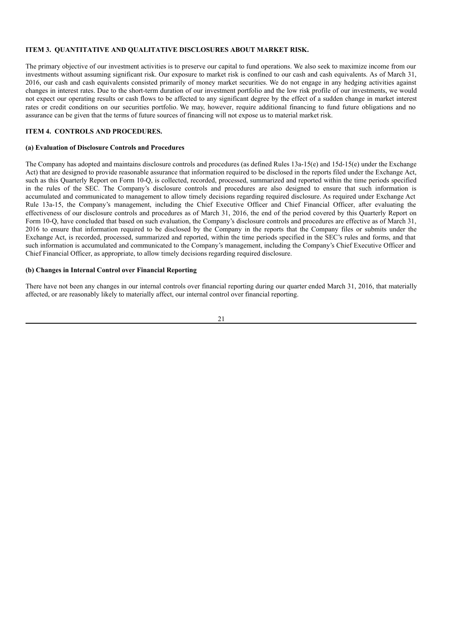### **ITEM 3. QUANTITATIVE AND QUALITATIVE DISCLOSURES ABOUT MARKET RISK.**

The primary objective of our investment activities is to preserve our capital to fund operations. We also seek to maximize income from our investments without assuming significant risk. Our exposure to market risk is confined to our cash and cash equivalents. As of March 31, 2016, our cash and cash equivalents consisted primarily of money market securities. We do not engage in any hedging activities against changes in interest rates. Due to the short-term duration of our investment portfolio and the low risk profile of our investments, we would not expect our operating results or cash flows to be affected to any significant degree by the effect of a sudden change in market interest rates or credit conditions on our securities portfolio. We may, however, require additional financing to fund future obligations and no assurance can be given that the terms of future sources of financing will not expose us to material market risk.

## **ITEM 4. CONTROLS AND PROCEDURES.**

### **(a) Evaluation of Disclosure Controls and Procedures**

The Company has adopted and maintains disclosure controls and procedures (as defined Rules 13a-15(e) and 15d-15(e) under the Exchange Act) that are designed to provide reasonable assurance that information required to be disclosed in the reports filed under the Exchange Act, such as this Quarterly Report on Form 10-Q, is collected, recorded, processed, summarized and reported within the time periods specified in the rules of the SEC. The Company's disclosure controls and procedures are also designed to ensure that such information is accumulated and communicated to management to allow timely decisions regarding required disclosure. As required under Exchange Act Rule 13a-15, the Company's management, including the Chief Executive Officer and Chief Financial Officer, after evaluating the effectiveness of our disclosure controls and procedures as of March 31, 2016, the end of the period covered by this Quarterly Report on Form 10-Q, have concluded that based on such evaluation, the Company's disclosure controls and procedures are effective as of March 31, 2016 to ensure that information required to be disclosed by the Company in the reports that the Company files or submits under the Exchange Act, is recorded, processed, summarized and reported, within the time periods specified in the SEC's rules and forms, and that such information is accumulated and communicated to the Company's management, including the Company's Chief Executive Officer and Chief Financial Officer, as appropriate, to allow timely decisions regarding required disclosure.

### **(b) Changes in Internal Control over Financial Reporting**

There have not been any changes in our internal controls over financial reporting during our quarter ended March 31, 2016, that materially affected, or are reasonably likely to materially affect, our internal control over financial reporting.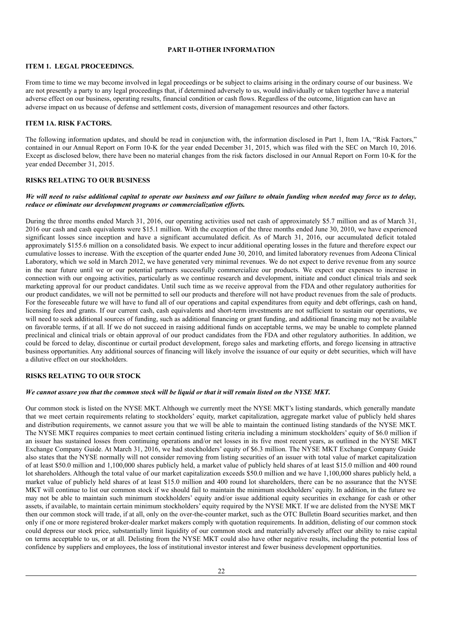## **PART II-OTHER INFORMATION**

### **ITEM 1. LEGAL PROCEEDINGS.**

From time to time we may become involved in legal proceedings or be subject to claims arising in the ordinary course of our business. We are not presently a party to any legal proceedings that, if determined adversely to us, would individually or taken together have a material adverse effect on our business, operating results, financial condition or cash flows. Regardless of the outcome, litigation can have an adverse impact on us because of defense and settlement costs, diversion of management resources and other factors.

### **ITEM 1A. RISK FACTORS.**

The following information updates, and should be read in conjunction with, the information disclosed in Part 1, Item 1A, "Risk Factors," contained in our Annual Report on Form 10-K for the year ended December 31, 2015, which was filed with the SEC on March 10, 2016. Except as disclosed below, there have been no material changes from the risk factors disclosed in our Annual Report on Form 10-K for the year ended December 31, 2015.

## **RISKS RELATING TO OUR BUSINESS**

### We will need to raise additional capital to operate our business and our failure to obtain funding when needed may force us to delay, *reduce or eliminate our development programs or commercialization ef orts.*

During the three months ended March 31, 2016, our operating activities used net cash of approximately \$5.7 million and as of March 31, 2016 our cash and cash equivalents were \$15.1 million. With the exception of the three months ended June 30, 2010, we have experienced significant losses since inception and have a significant accumulated deficit. As of March 31, 2016, our accumulated deficit totaled approximately \$155.6 million on a consolidated basis. We expect to incur additional operating losses in the future and therefore expect our cumulative losses to increase. With the exception of the quarter ended June 30, 2010, and limited laboratory revenues from Adeona Clinical Laboratory, which we sold in March 2012, we have generated very minimal revenues. We do not expect to derive revenue from any source in the near future until we or our potential partners successfully commercialize our products. We expect our expenses to increase in connection with our ongoing activities, particularly as we continue research and development, initiate and conduct clinical trials and seek marketing approval for our product candidates. Until such time as we receive approval from the FDA and other regulatory authorities for our product candidates, we will not be permitted to sell our products and therefore will not have product revenues from the sale of products. For the foreseeable future we will have to fund all of our operations and capital expenditures from equity and debt offerings, cash on hand, licensing fees and grants. If our current cash, cash equivalents and short-term investments are not sufficient to sustain our operations, we will need to seek additional sources of funding, such as additional financing or grant funding, and additional financing may not be available on favorable terms, if at all. If we do not succeed in raising additional funds on acceptable terms, we may be unable to complete planned preclinical and clinical trials or obtain approval of our product candidates from the FDA and other regulatory authorities. In addition, we could be forced to delay, discontinue or curtail product development, forego sales and marketing efforts, and forego licensing in attractive business opportunities. Any additional sources of financing will likely involve the issuance of our equity or debt securities, which will have a dilutive effect on our stockholders.

### **RISKS RELATING TO OUR STOCK**

## We cannot assure you that the common stock will be liquid or that it will remain listed on the NYSE MKT.

Our common stock is listed on the NYSE MKT. Although we currently meet the NYSE MKT's listing standards, which generally mandate that we meet certain requirements relating to stockholders' equity, market capitalization, aggregate market value of publicly held shares and distribution requirements, we cannot assure you that we will be able to maintain the continued listing standards of the NYSE MKT. The NYSE MKT requires companies to meet certain continued listing criteria including a minimum stockholders' equity of \$6.0 million if an issuer has sustained losses from continuing operations and/or net losses in its five most recent years, as outlined in the NYSE MKT Exchange Company Guide. At March 31, 2016, we had stockholders' equity of \$6.3 million. The NYSE MKT Exchange Company Guide also states that the NYSE normally will not consider removing from listing securities of an issuer with total value of market capitalization of at least \$50.0 million and 1,100,000 shares publicly held, a market value of publicly held shares of at least \$15.0 million and 400 round lot shareholders. Although the total value of our market capitalization exceeds \$50.0 million and we have 1,100,000 shares publicly held, a market value of publicly held shares of at least \$15.0 million and 400 round lot shareholders, there can be no assurance that the NYSE MKT will continue to list our common stock if we should fail to maintain the minimum stockholders' equity. In addition, in the future we may not be able to maintain such minimum stockholders' equity and/or issue additional equity securities in exchange for cash or other assets, if available, to maintain certain minimum stockholders' equity required by the NYSE MKT. If we are delisted from the NYSE MKT then our common stock will trade, if at all, only on the over-the-counter market, such as the OTC Bulletin Board securities market, and then only if one or more registered broker-dealer market makers comply with quotation requirements. In addition, delisting of our common stock could depress our stock price, substantially limit liquidity of our common stock and materially adversely affect our ability to raise capital on terms acceptable to us, or at all. Delisting from the NYSE MKT could also have other negative results, including the potential loss of confidence by suppliers and employees, the loss of institutional investor interest and fewer business development opportunities.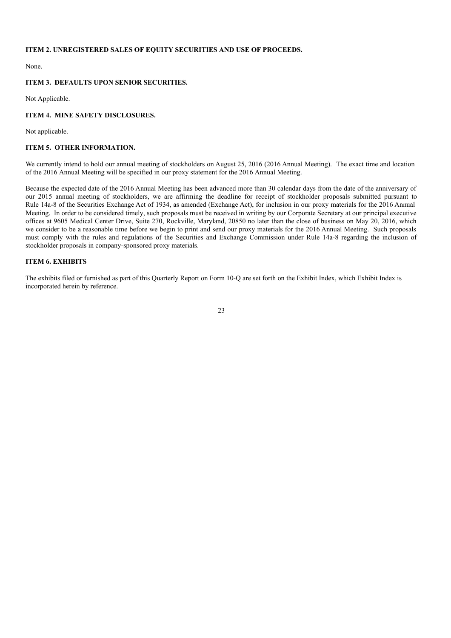## **ITEM 2. UNREGISTERED SALES OF EQUITY SECURITIES AND USE OF PROCEEDS.**

None.

## **ITEM 3. DEFAULTS UPON SENIOR SECURITIES.**

Not Applicable.

## **ITEM 4. MINE SAFETY DISCLOSURES.**

Not applicable.

### **ITEM 5. OTHER INFORMATION.**

We currently intend to hold our annual meeting of stockholders on August 25, 2016 (2016 Annual Meeting). The exact time and location of the 2016 Annual Meeting will be specified in our proxy statement for the 2016 Annual Meeting.

Because the expected date of the 2016 Annual Meeting has been advanced more than 30 calendar days from the date of the anniversary of our 2015 annual meeting of stockholders, we are affirming the deadline for receipt of stockholder proposals submitted pursuant to Rule 14a-8 of the Securities Exchange Act of 1934, as amended (Exchange Act), for inclusion in our proxy materials for the 2016 Annual Meeting. In order to be considered timely, such proposals must be received in writing by our Corporate Secretary at our principal executive offices at 9605 Medical Center Drive, Suite 270, Rockville, Maryland, 20850 no later than the close of business on May 20, 2016, which we consider to be a reasonable time before we begin to print and send our proxy materials for the 2016 Annual Meeting. Such proposals must comply with the rules and regulations of the Securities and Exchange Commission under Rule 14a-8 regarding the inclusion of stockholder proposals in company-sponsored proxy materials.

## **ITEM 6. EXHIBITS**

The exhibits filed or furnished as part of this Quarterly Report on Form 10-Q are set forth on the Exhibit Index, which Exhibit Index is incorporated herein by reference.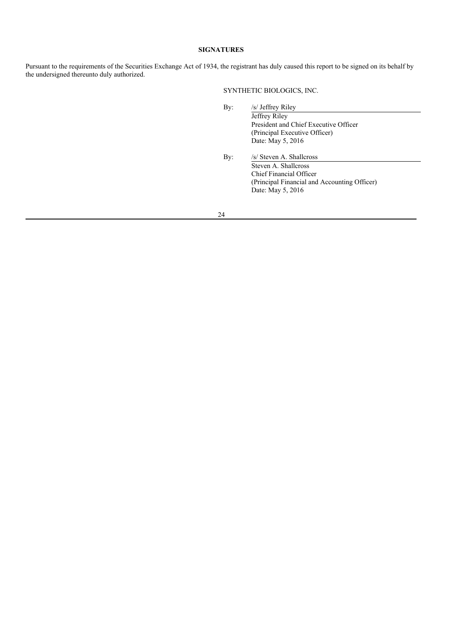## **SIGNATURES**

Pursuant to the requirements of the Securities Exchange Act of 1934, the registrant has duly caused this report to be signed on its behalf by the undersigned thereunto duly authorized.

SYNTHETIC BIOLOGICS, INC.

Date: May 5, 2016

By: /s/ Jeffrey Riley Jeffrey Riley President and Chief Executive Officer (Principal Executive Officer) Date: May 5, 2016 By: /s/ Steven A. Shallcross Steven A. Shallcross Chief Financial Officer (Principal Financial and Accounting Officer)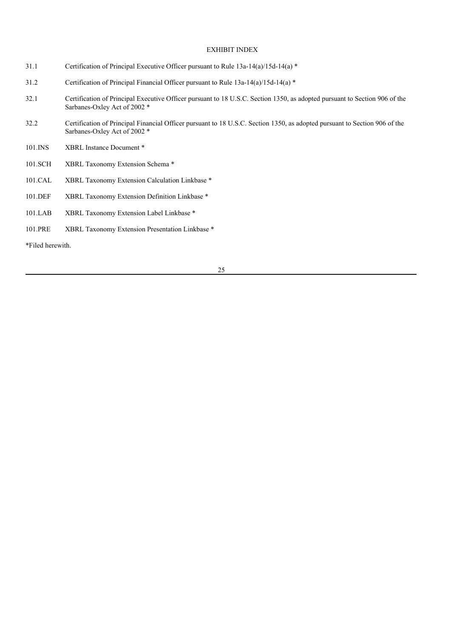## EXHIBIT INDEX

- 31.1 Certification of Principal Executive Officer pursuant to Rule 13a-14(a)/15d-14(a) \*
- 31.2 Certification of Principal Financial Officer pursuant to Rule 13a-14(a)/15d-14(a) \*
- 32.1 Certification of Principal Executive Officer pursuant to 18 U.S.C. Section 1350, as adopted pursuant to Section 906 of the Sarbanes-Oxley Act of 2002 \*
- 32.2 Certification of Principal Financial Officer pursuant to 18 U.S.C. Section 1350, as adopted pursuant to Section 906 of the Sarbanes-Oxley Act of 2002 \*
- 101.INS XBRL Instance Document \*
- 101.SCH XBRL Taxonomy Extension Schema \*
- 101.CAL XBRL Taxonomy Extension Calculation Linkbase \*
- 101.DEF XBRL Taxonomy Extension Definition Linkbase \*
- 101.LAB XBRL Taxonomy Extension Label Linkbase \*
- 101.PRE XBRL Taxonomy Extension Presentation Linkbase \*

\*Filed herewith.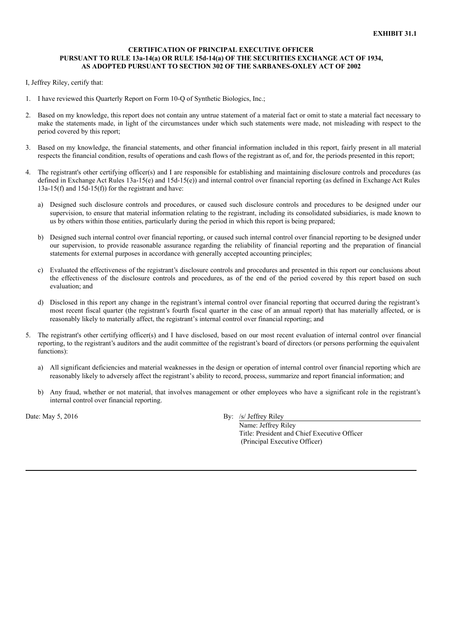### **CERTIFICATION OF PRINCIPAL EXECUTIVE OFFICER PURSUANT TO RULE 13a-14(a) OR RULE 15d-14(a) OF THE SECURITIES EXCHANGE ACT OF 1934, AS ADOPTED PURSUANT TO SECTION 302 OF THE SARBANES-OXLEY ACT OF 2002**

I, Jeffrey Riley, certify that:

- 1. I have reviewed this Quarterly Report on Form 10-Q of Synthetic Biologics, Inc.;
- 2. Based on my knowledge, this report does not contain any untrue statement of a material fact or omit to state a material fact necessary to make the statements made, in light of the circumstances under which such statements were made, not misleading with respect to the period covered by this report;
- 3. Based on my knowledge, the financial statements, and other financial information included in this report, fairly present in all material respects the financial condition, results of operations and cash flows of the registrant as of, and for, the periods presented in this report;
- 4. The registrant's other certifying officer(s) and I are responsible for establishing and maintaining disclosure controls and procedures (as defined in Exchange Act Rules 13a-15(e) and 15d-15(e)) and internal control over financial reporting (as defined in Exchange Act Rules 13a-15(f) and 15d-15(f)) for the registrant and have:
	- a) Designed such disclosure controls and procedures, or caused such disclosure controls and procedures to be designed under our supervision, to ensure that material information relating to the registrant, including its consolidated subsidiaries, is made known to us by others within those entities, particularly during the period in which this report is being prepared;
	- b) Designed such internal control over financial reporting, or caused such internal control over financial reporting to be designed under our supervision, to provide reasonable assurance regarding the reliability of financial reporting and the preparation of financial statements for external purposes in accordance with generally accepted accounting principles;
	- c) Evaluated the effectiveness of the registrant's disclosure controls and procedures and presented in this report our conclusions about the effectiveness of the disclosure controls and procedures, as of the end of the period covered by this report based on such evaluation; and
	- d) Disclosed in this report any change in the registrant's internal control over financial reporting that occurred during the registrant's most recent fiscal quarter (the registrant's fourth fiscal quarter in the case of an annual report) that has materially affected, or is reasonably likely to materially affect, the registrant's internal control over financial reporting; and
- 5. The registrant's other certifying officer(s) and I have disclosed, based on our most recent evaluation of internal control over financial reporting, to the registrant's auditors and the audit committee of the registrant's board of directors (or persons performing the equivalent functions):
	- a) All significant deficiencies and material weaknesses in the design or operation of internal control over financial reporting which are reasonably likely to adversely affect the registrant's ability to record, process, summarize and report financial information; and
	- b) Any fraud, whether or not material, that involves management or other employees who have a significant role in the registrant's internal control over financial reporting.

Date: May 5, 2016 By: /s/ Jeffrey Riley

Name: Jeffrey Riley Title: President and Chief Executive Officer (Principal Executive Officer)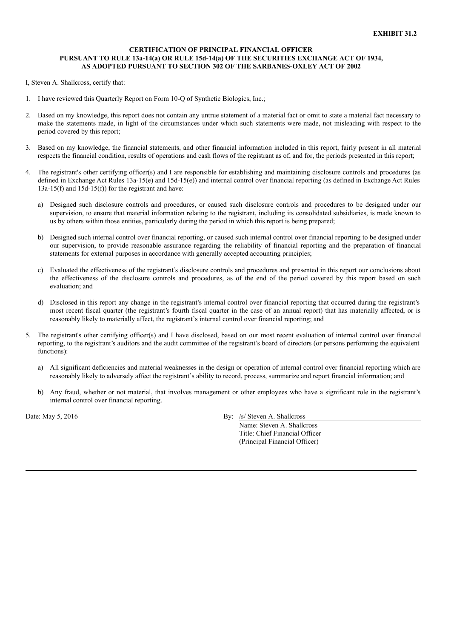### **CERTIFICATION OF PRINCIPAL FINANCIAL OFFICER PURSUANT TO RULE 13a-14(a) OR RULE 15d-14(a) OF THE SECURITIES EXCHANGE ACT OF 1934, AS ADOPTED PURSUANT TO SECTION 302 OF THE SARBANES-OXLEY ACT OF 2002**

I, Steven A. Shallcross, certify that:

- 1. I have reviewed this Quarterly Report on Form 10-Q of Synthetic Biologics, Inc.;
- 2. Based on my knowledge, this report does not contain any untrue statement of a material fact or omit to state a material fact necessary to make the statements made, in light of the circumstances under which such statements were made, not misleading with respect to the period covered by this report;
- 3. Based on my knowledge, the financial statements, and other financial information included in this report, fairly present in all material respects the financial condition, results of operations and cash flows of the registrant as of, and for, the periods presented in this report;
- 4. The registrant's other certifying officer(s) and I are responsible for establishing and maintaining disclosure controls and procedures (as defined in Exchange Act Rules 13a-15(e) and 15d-15(e)) and internal control over financial reporting (as defined in Exchange Act Rules 13a-15(f) and 15d-15(f)) for the registrant and have:
	- a) Designed such disclosure controls and procedures, or caused such disclosure controls and procedures to be designed under our supervision, to ensure that material information relating to the registrant, including its consolidated subsidiaries, is made known to us by others within those entities, particularly during the period in which this report is being prepared;
	- b) Designed such internal control over financial reporting, or caused such internal control over financial reporting to be designed under our supervision, to provide reasonable assurance regarding the reliability of financial reporting and the preparation of financial statements for external purposes in accordance with generally accepted accounting principles;
	- c) Evaluated the effectiveness of the registrant's disclosure controls and procedures and presented in this report our conclusions about the effectiveness of the disclosure controls and procedures, as of the end of the period covered by this report based on such evaluation; and
	- d) Disclosed in this report any change in the registrant's internal control over financial reporting that occurred during the registrant's most recent fiscal quarter (the registrant's fourth fiscal quarter in the case of an annual report) that has materially affected, or is reasonably likely to materially affect, the registrant's internal control over financial reporting; and
- 5. The registrant's other certifying officer(s) and I have disclosed, based on our most recent evaluation of internal control over financial reporting, to the registrant's auditors and the audit committee of the registrant's board of directors (or persons performing the equivalent functions):
	- a) All significant deficiencies and material weaknesses in the design or operation of internal control over financial reporting which are reasonably likely to adversely affect the registrant's ability to record, process, summarize and report financial information; and
	- b) Any fraud, whether or not material, that involves management or other employees who have a significant role in the registrant's internal control over financial reporting.

Date: May 5, 2016 By: /s/ Steven A. Shallcross

Name: Steven A. Shallcross Title: Chief Financial Officer (Principal Financial Officer)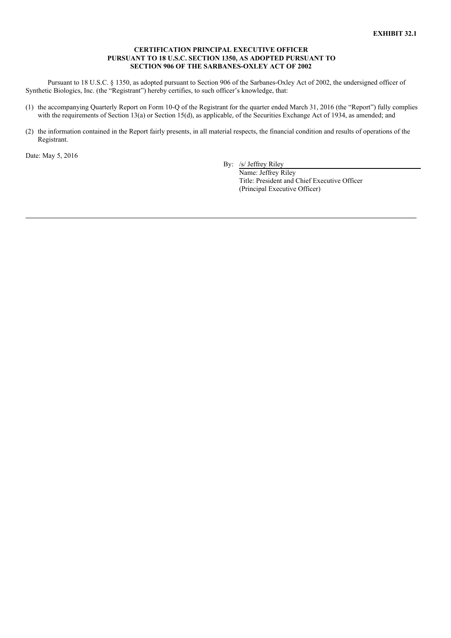### **CERTIFICATION PRINCIPAL EXECUTIVE OFFICER PURSUANT TO 18 U.S.C. SECTION 1350, AS ADOPTED PURSUANT TO SECTION 906 OF THE SARBANES-OXLEY ACT OF 2002**

Pursuant to 18 U.S.C. § 1350, as adopted pursuant to Section 906 of the Sarbanes-Oxley Act of 2002, the undersigned officer of Synthetic Biologics, Inc. (the "Registrant") hereby certifies, to such officer's knowledge, that:

- (1) the accompanying Quarterly Report on Form 10-Q of the Registrant for the quarter ended March 31, 2016 (the "Report") fully complies with the requirements of Section 13(a) or Section 15(d), as applicable, of the Securities Exchange Act of 1934, as amended; and
- (2) the information contained in the Report fairly presents, in all material respects, the financial condition and results of operations of the Registrant.

Date: May 5, 2016

By: /s/ Jeffrey Riley

Name: Jeffrey Riley Title: President and Chief Executive Officer (Principal Executive Officer)